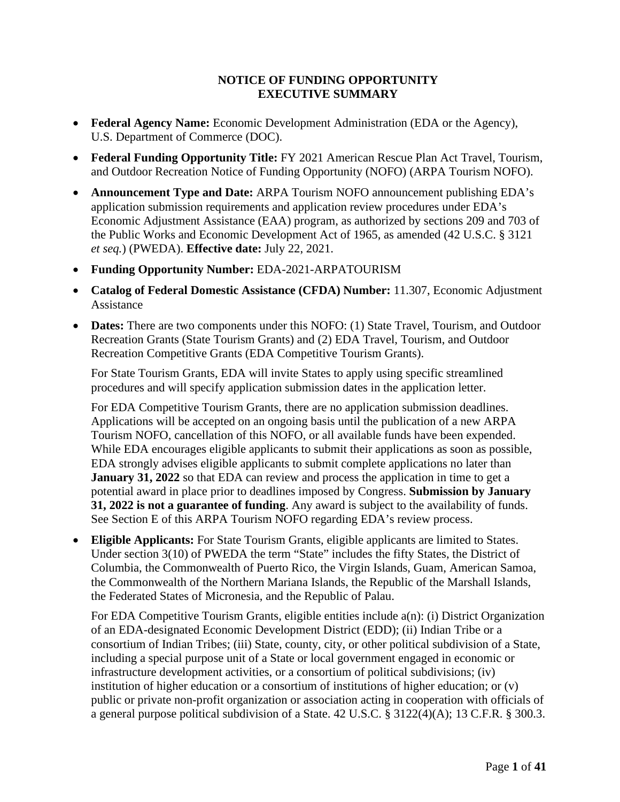## **NOTICE OF FUNDING OPPORTUNITY EXECUTIVE SUMMARY**

- **Federal Agency Name:** Economic Development Administration (EDA or the Agency), U.S. Department of Commerce (DOC).
- **Federal Funding Opportunity Title:** FY 2021 American Rescue Plan Act Travel, Tourism, and Outdoor Recreation Notice of Funding Opportunity (NOFO) (ARPA Tourism NOFO).
- **Announcement Type and Date:** ARPA Tourism NOFO announcement publishing EDA's application submission requirements and application review procedures under EDA's Economic Adjustment Assistance (EAA) program, as authorized by sections 209 and 703 of the Public Works and Economic Development Act of 1965, as amended (42 U.S.C. § 3121 *et seq.*) (PWEDA). **Effective date:** July 22, 2021.
- **Funding Opportunity Number:** EDA-2021-ARPATOURISM
- **Catalog of Federal Domestic Assistance (CFDA) Number:** 11.307, Economic Adjustment Assistance
- **Dates:** There are two components under this NOFO: (1) State Travel, Tourism, and Outdoor Recreation Grants (State Tourism Grants) and (2) EDA Travel, Tourism, and Outdoor Recreation Competitive Grants (EDA Competitive Tourism Grants).

For State Tourism Grants, EDA will invite States to apply using specific streamlined procedures and will specify application submission dates in the application letter.

For EDA Competitive Tourism Grants, there are no application submission deadlines. Applications will be accepted on an ongoing basis until the publication of a new ARPA Tourism NOFO, cancellation of this NOFO, or all available funds have been expended. While EDA encourages eligible applicants to submit their applications as soon as possible, EDA strongly advises eligible applicants to submit complete applications no later than **January** 31, 2022 so that EDA can review and process the application in time to get a potential award in place prior to deadlines imposed by Congress. **Submission by January 31, 2022 is not a guarantee of funding**. Any award is subject to the availability of funds. See Section E of this ARPA Tourism NOFO regarding EDA's review process.

• **Eligible Applicants:** For State Tourism Grants, eligible applicants are limited to States. Under section 3(10) of PWEDA the term "State" includes the fifty States, the District of Columbia, the Commonwealth of Puerto Rico, the Virgin Islands, Guam, American Samoa, the Commonwealth of the Northern Mariana Islands, the Republic of the Marshall Islands, the Federated States of Micronesia, and the Republic of Palau.

For EDA Competitive Tourism Grants, eligible entities include a(n): (i) District Organization of an EDA-designated Economic Development District (EDD); (ii) Indian Tribe or a consortium of Indian Tribes; (iii) State, county, city, or other political subdivision of a State, including a special purpose unit of a State or local government engaged in economic or infrastructure development activities, or a consortium of political subdivisions; (iv) institution of higher education or a consortium of institutions of higher education; or (v) public or private non-profit organization or association acting in cooperation with officials of a general purpose political subdivision of a State. 42 U.S.C. § 3122(4)(A); 13 C.F.R. § 300.3.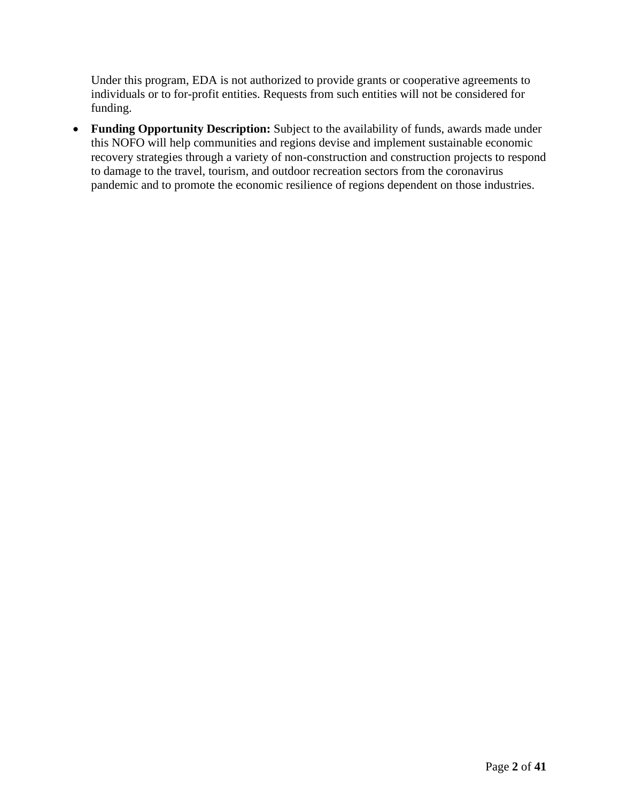Under this program, EDA is not authorized to provide grants or cooperative agreements to individuals or to for-profit entities. Requests from such entities will not be considered for funding.

• **Funding Opportunity Description:** Subject to the availability of funds, awards made under this NOFO will help communities and regions devise and implement sustainable economic recovery strategies through a variety of non-construction and construction projects to respond to damage to the travel, tourism, and outdoor recreation sectors from the coronavirus pandemic and to promote the economic resilience of regions dependent on those industries.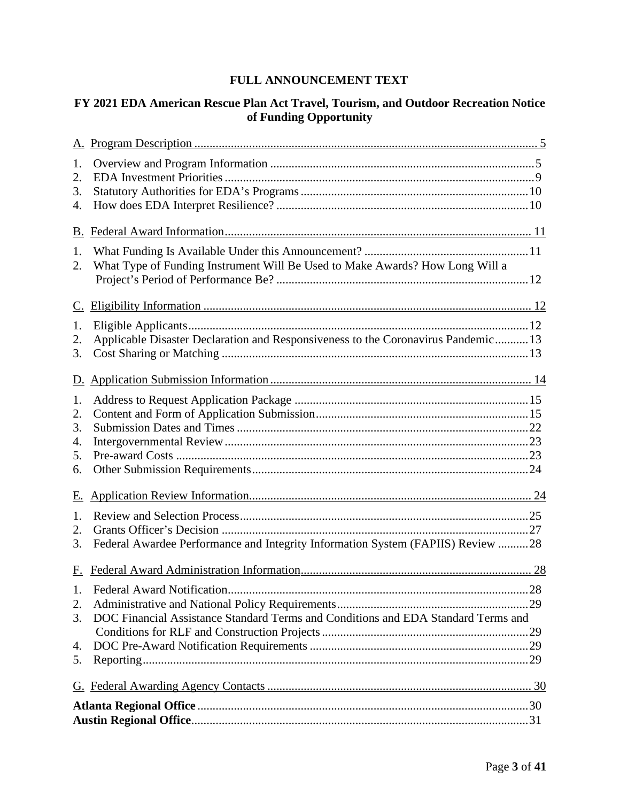# **FULL ANNOUNCEMENT TEXT**

# **FY 2021 EDA American Rescue Plan Act Travel, Tourism, and Outdoor Recreation Notice of Funding Opportunity**

| 1. |                                                                                   |  |  |  |
|----|-----------------------------------------------------------------------------------|--|--|--|
| 2. |                                                                                   |  |  |  |
| 3. |                                                                                   |  |  |  |
| 4. |                                                                                   |  |  |  |
| В. |                                                                                   |  |  |  |
| 1. |                                                                                   |  |  |  |
| 2. | What Type of Funding Instrument Will Be Used to Make Awards? How Long Will a      |  |  |  |
|    |                                                                                   |  |  |  |
|    |                                                                                   |  |  |  |
| 1. |                                                                                   |  |  |  |
| 2. | Applicable Disaster Declaration and Responsiveness to the Coronavirus Pandemic 13 |  |  |  |
| 3. |                                                                                   |  |  |  |
|    |                                                                                   |  |  |  |
| 1. |                                                                                   |  |  |  |
| 2. |                                                                                   |  |  |  |
| 3. |                                                                                   |  |  |  |
| 4. |                                                                                   |  |  |  |
| 5. |                                                                                   |  |  |  |
| 6. |                                                                                   |  |  |  |
| Е. |                                                                                   |  |  |  |
| 1. |                                                                                   |  |  |  |
| 2. |                                                                                   |  |  |  |
| 3. | Federal Awardee Performance and Integrity Information System (FAPIIS) Review 28   |  |  |  |
|    |                                                                                   |  |  |  |
|    |                                                                                   |  |  |  |
| 2. |                                                                                   |  |  |  |
| 3. | DOC Financial Assistance Standard Terms and Conditions and EDA Standard Terms and |  |  |  |
|    |                                                                                   |  |  |  |
| 4. |                                                                                   |  |  |  |
| 5. |                                                                                   |  |  |  |
|    |                                                                                   |  |  |  |
|    |                                                                                   |  |  |  |
|    |                                                                                   |  |  |  |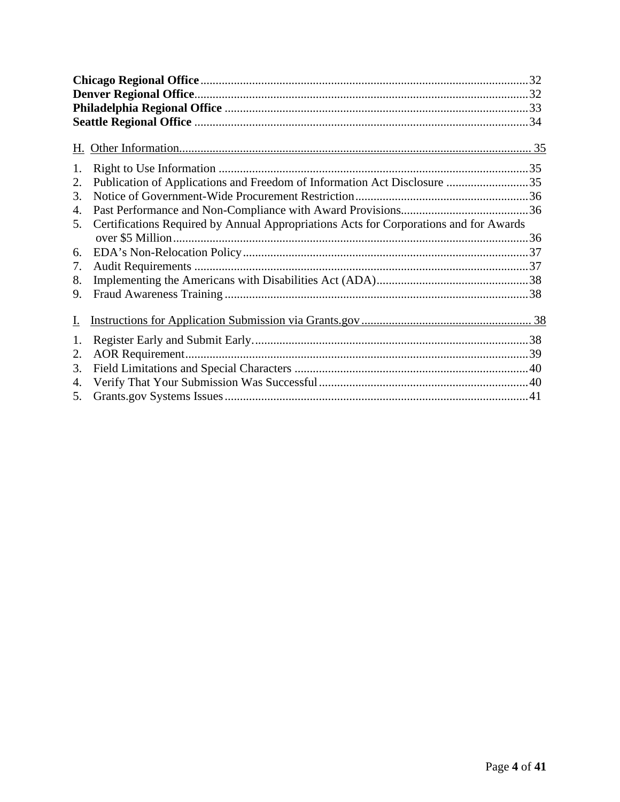| 1. |                                                                                       |  |
|----|---------------------------------------------------------------------------------------|--|
| 2. | Publication of Applications and Freedom of Information Act Disclosure 35              |  |
| 3. |                                                                                       |  |
| 4. |                                                                                       |  |
| 5. | Certifications Required by Annual Appropriations Acts for Corporations and for Awards |  |
|    |                                                                                       |  |
| 6. |                                                                                       |  |
| 7. |                                                                                       |  |
| 8. |                                                                                       |  |
| 9. |                                                                                       |  |
| I. |                                                                                       |  |
| 1. |                                                                                       |  |
| 2. |                                                                                       |  |
| 3. |                                                                                       |  |
| 4. |                                                                                       |  |
| 5. |                                                                                       |  |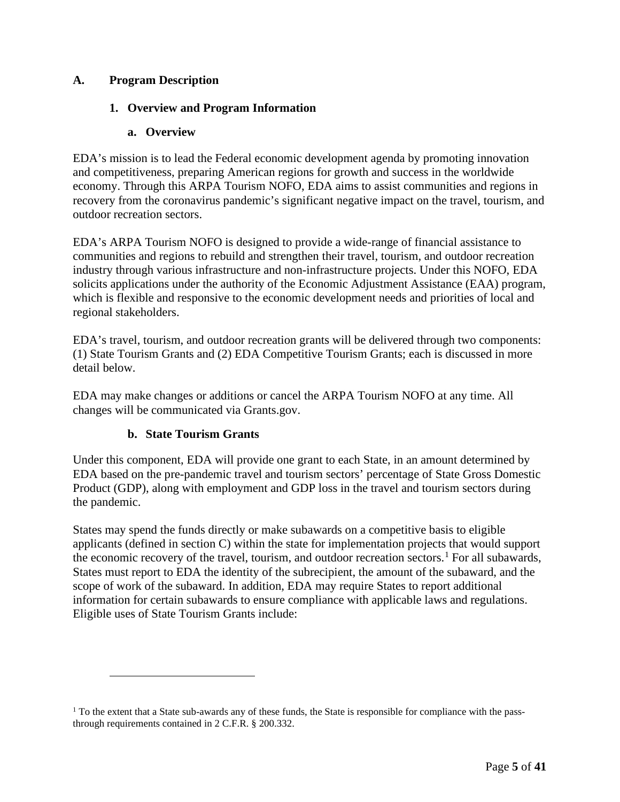# <span id="page-4-1"></span><span id="page-4-0"></span>**A. Program Description**

# **1. Overview and Program Information**

# **a. Overview**

EDA's mission is to lead the Federal economic development agenda by promoting innovation and competitiveness, preparing American regions for growth and success in the worldwide economy. Through this ARPA Tourism NOFO, EDA aims to assist communities and regions in recovery from the coronavirus pandemic's significant negative impact on the travel, tourism, and outdoor recreation sectors.

EDA's ARPA Tourism NOFO is designed to provide a wide-range of financial assistance to communities and regions to rebuild and strengthen their travel, tourism, and outdoor recreation industry through various infrastructure and non-infrastructure projects. Under this NOFO, EDA solicits applications under the authority of the Economic Adjustment Assistance (EAA) program, which is flexible and responsive to the economic development needs and priorities of local and regional stakeholders.

EDA's travel, tourism, and outdoor recreation grants will be delivered through two components: (1) State Tourism Grants and (2) EDA Competitive Tourism Grants; each is discussed in more detail below.

EDA may make changes or additions or cancel the ARPA Tourism NOFO at any time. All changes will be communicated via Grants.gov.

# **b. State Tourism Grants**

Under this component, EDA will provide one grant to each State, in an amount determined by EDA based on the pre-pandemic travel and tourism sectors' percentage of State Gross Domestic Product (GDP), along with employment and GDP loss in the travel and tourism sectors during the pandemic.

States may spend the funds directly or make subawards on a competitive basis to eligible applicants (defined in section C) within the state for implementation projects that would support the economic recovery of the travel, tourism, and outdoor recreation sectors.<sup>[1](#page-4-2)</sup> For all subawards, States must report to EDA the identity of the subrecipient, the amount of the subaward, and the scope of work of the subaward. In addition, EDA may require States to report additional information for certain subawards to ensure compliance with applicable laws and regulations. Eligible uses of State Tourism Grants include:

<span id="page-4-2"></span><sup>&</sup>lt;sup>1</sup> To the extent that a State sub-awards any of these funds, the State is responsible for compliance with the passthrough requirements contained in 2 C.F.R. § 200.332.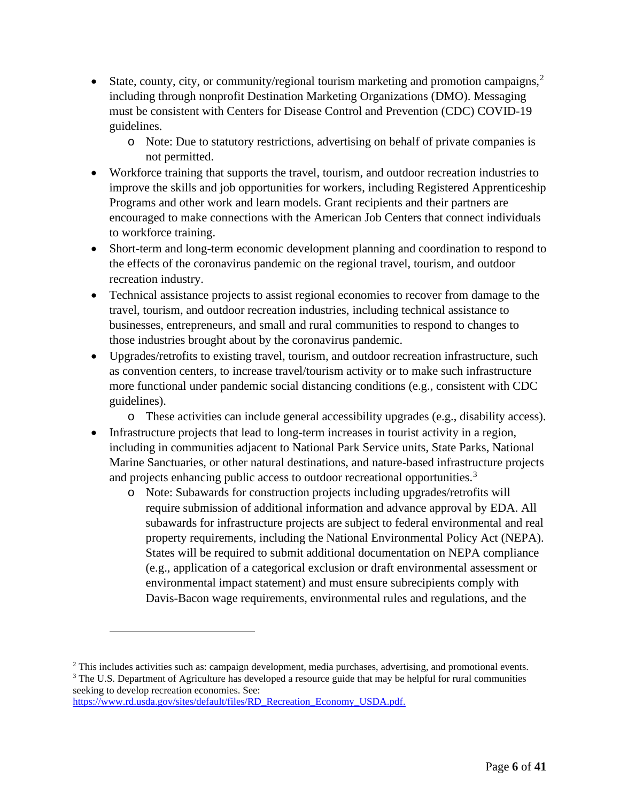- State, county, city, or community/regional tourism marketing and promotion campaigns,<sup>[2](#page-5-0)</sup> including through nonprofit Destination Marketing Organizations (DMO). Messaging must be consistent with Centers for Disease Control and Prevention (CDC) COVID-19 guidelines.
	- o Note: Due to statutory restrictions, advertising on behalf of private companies is not permitted.
- Workforce training that supports the travel, tourism, and outdoor recreation industries to improve the skills and job opportunities for workers, including Registered Apprenticeship Programs and other work and learn models. Grant recipients and their partners are encouraged to make connections with the American Job Centers that connect individuals to workforce training.
- Short-term and long-term economic development planning and coordination to respond to the effects of the coronavirus pandemic on the regional travel, tourism, and outdoor recreation industry.
- Technical assistance projects to assist regional economies to recover from damage to the travel, tourism, and outdoor recreation industries, including technical assistance to businesses, entrepreneurs, and small and rural communities to respond to changes to those industries brought about by the coronavirus pandemic.
- Upgrades/retrofits to existing travel, tourism, and outdoor recreation infrastructure, such as convention centers, to increase travel/tourism activity or to make such infrastructure more functional under pandemic social distancing conditions (e.g., consistent with CDC guidelines).
	- o These activities can include general accessibility upgrades (e.g., disability access).
- Infrastructure projects that lead to long-term increases in tourist activity in a region, including in communities adjacent to National Park Service units, State Parks, National Marine Sanctuaries, or other natural destinations, and nature-based infrastructure projects and projects enhancing public access to outdoor recreational opportunities.<sup>[3](#page-5-1)</sup>
	- o Note: Subawards for construction projects including upgrades/retrofits will require submission of additional information and advance approval by EDA. All subawards for infrastructure projects are subject to federal environmental and real property requirements, including the National Environmental Policy Act (NEPA). States will be required to submit additional documentation on NEPA compliance (e.g., application of a categorical exclusion or draft environmental assessment or environmental impact statement) and must ensure subrecipients comply with Davis-Bacon wage requirements, environmental rules and regulations, and the

```
https://www.rd.usda.gov/sites/default/files/RD_Recreation_Economy_USDA.pdf.
```
<span id="page-5-1"></span><span id="page-5-0"></span><sup>&</sup>lt;sup>2</sup> This includes activities such as: campaign development, media purchases, advertising, and promotional events. <sup>3</sup> The U.S. Department of Agriculture has developed a resource guide that may be helpful for rural communities seeking to develop recreation economies. See: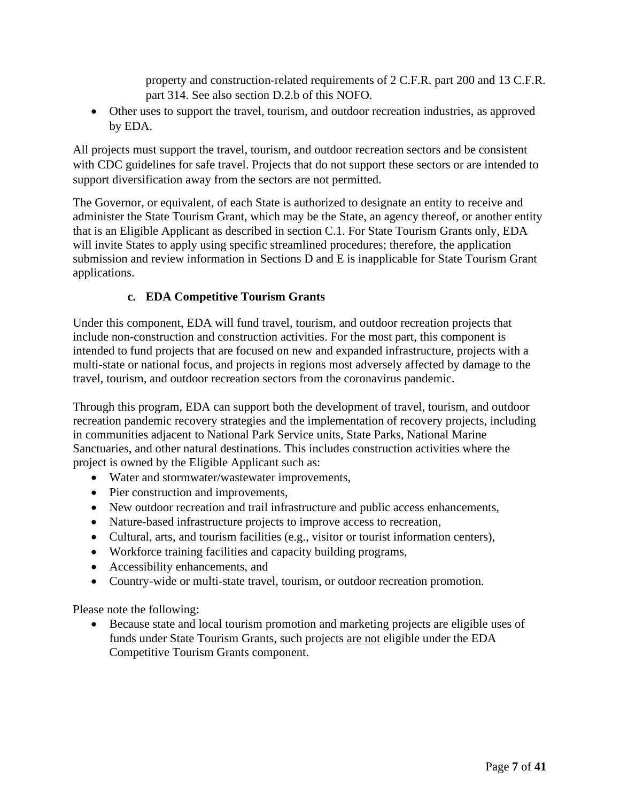property and construction-related requirements of 2 C.F.R. part 200 and 13 C.F.R. part 314. See also section D.2.b of this NOFO.

• Other uses to support the travel, tourism, and outdoor recreation industries, as approved by EDA.

All projects must support the travel, tourism, and outdoor recreation sectors and be consistent with CDC guidelines for safe travel. Projects that do not support these sectors or are intended to support diversification away from the sectors are not permitted.

The Governor, or equivalent, of each State is authorized to designate an entity to receive and administer the State Tourism Grant, which may be the State, an agency thereof, or another entity that is an Eligible Applicant as described in section C.1. For State Tourism Grants only, EDA will invite States to apply using specific streamlined procedures; therefore, the application submission and review information in Sections D and E is inapplicable for State Tourism Grant applications.

# **c. EDA Competitive Tourism Grants**

Under this component, EDA will fund travel, tourism, and outdoor recreation projects that include non-construction and construction activities. For the most part, this component is intended to fund projects that are focused on new and expanded infrastructure, projects with a multi-state or national focus, and projects in regions most adversely affected by damage to the travel, tourism, and outdoor recreation sectors from the coronavirus pandemic.

Through this program, EDA can support both the development of travel, tourism, and outdoor recreation pandemic recovery strategies and the implementation of recovery projects, including in communities adjacent to National Park Service units, State Parks, National Marine Sanctuaries, and other natural destinations. This includes construction activities where the project is owned by the Eligible Applicant such as:

- Water and stormwater/wastewater improvements,
- Pier construction and improvements,
- New outdoor recreation and trail infrastructure and public access enhancements,
- Nature-based infrastructure projects to improve access to recreation,
- Cultural, arts, and tourism facilities (e.g., visitor or tourist information centers),
- Workforce training facilities and capacity building programs,
- Accessibility enhancements, and
- Country-wide or multi-state travel, tourism, or outdoor recreation promotion.

Please note the following:

• Because state and local tourism promotion and marketing projects are eligible uses of funds under State Tourism Grants, such projects are not eligible under the EDA Competitive Tourism Grants component.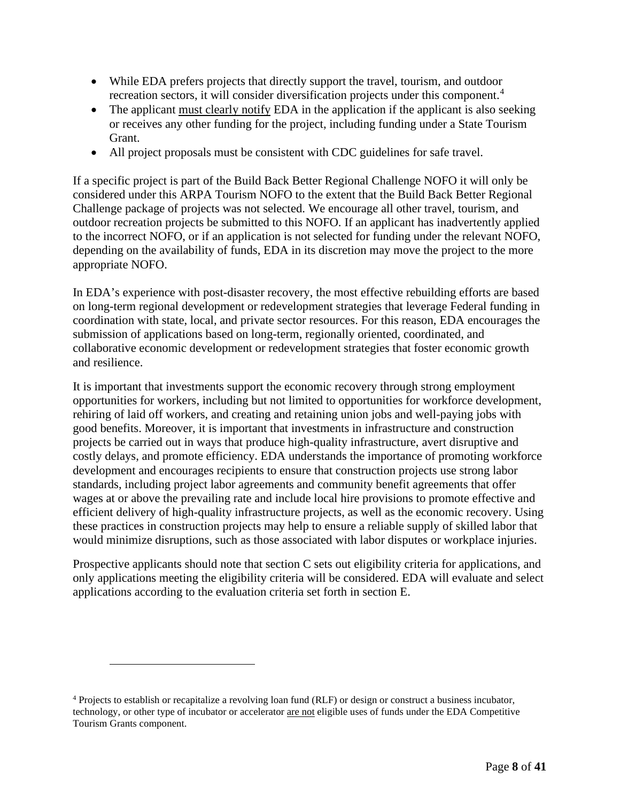- While EDA prefers projects that directly support the travel, tourism, and outdoor recreation sectors, it will consider diversification projects under this component. [4](#page-7-0)
- The applicant must clearly notify EDA in the application if the applicant is also seeking or receives any other funding for the project, including funding under a State Tourism Grant.
- All project proposals must be consistent with CDC guidelines for safe travel.

If a specific project is part of the Build Back Better Regional Challenge NOFO it will only be considered under this ARPA Tourism NOFO to the extent that the Build Back Better Regional Challenge package of projects was not selected. We encourage all other travel, tourism, and outdoor recreation projects be submitted to this NOFO. If an applicant has inadvertently applied to the incorrect NOFO, or if an application is not selected for funding under the relevant NOFO, depending on the availability of funds, EDA in its discretion may move the project to the more appropriate NOFO.

In EDA's experience with post-disaster recovery, the most effective rebuilding efforts are based on long-term regional development or redevelopment strategies that leverage Federal funding in coordination with state, local, and private sector resources. For this reason, EDA encourages the submission of applications based on long-term, regionally oriented, coordinated, and collaborative economic development or redevelopment strategies that foster economic growth and resilience.

It is important that investments support the economic recovery through strong employment opportunities for workers, including but not limited to opportunities for workforce development, rehiring of laid off workers, and creating and retaining union jobs and well-paying jobs with good benefits. Moreover, it is important that investments in infrastructure and construction projects be carried out in ways that produce high-quality infrastructure, avert disruptive and costly delays, and promote efficiency. EDA understands the importance of promoting workforce development and encourages recipients to ensure that construction projects use strong labor standards, including project labor agreements and community benefit agreements that offer wages at or above the prevailing rate and include local hire provisions to promote effective and efficient delivery of high-quality infrastructure projects, as well as the economic recovery. Using these practices in construction projects may help to ensure a reliable supply of skilled labor that would minimize disruptions, such as those associated with labor disputes or workplace injuries.

Prospective applicants should note that section C sets out eligibility criteria for applications, and only applications meeting the eligibility criteria will be considered. EDA will evaluate and select applications according to the evaluation criteria set forth in section E.

<span id="page-7-0"></span><sup>4</sup> Projects to establish or recapitalize a revolving loan fund (RLF) or design or construct a business incubator, technology, or other type of incubator or accelerator are not eligible uses of funds under the EDA Competitive Tourism Grants component.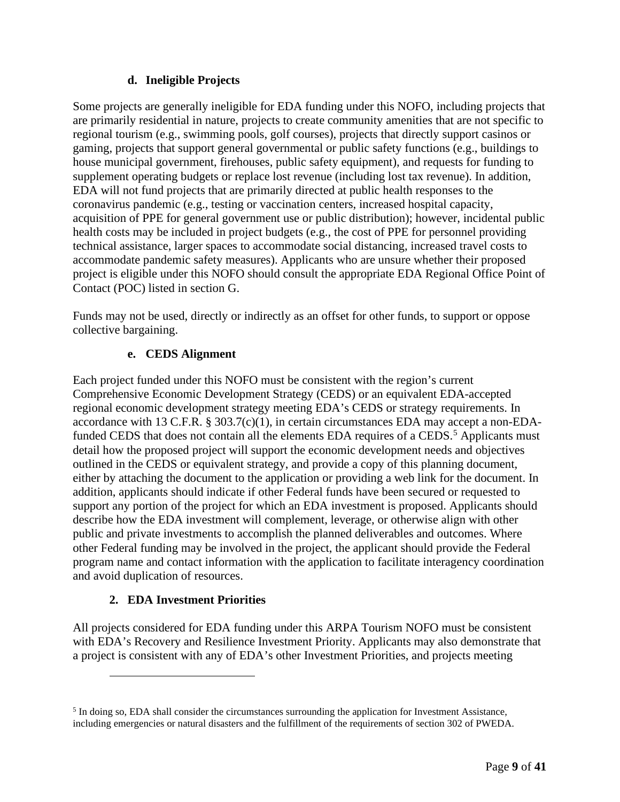# **d. Ineligible Projects**

Some projects are generally ineligible for EDA funding under this NOFO, including projects that are primarily residential in nature, projects to create community amenities that are not specific to regional tourism (e.g., swimming pools, golf courses), projects that directly support casinos or gaming, projects that support general governmental or public safety functions (e.g., buildings to house municipal government, firehouses, public safety equipment), and requests for funding to supplement operating budgets or replace lost revenue (including lost tax revenue). In addition, EDA will not fund projects that are primarily directed at public health responses to the coronavirus pandemic (e.g., testing or vaccination centers, increased hospital capacity, acquisition of PPE for general government use or public distribution); however, incidental public health costs may be included in project budgets (e.g., the cost of PPE for personnel providing technical assistance, larger spaces to accommodate social distancing, increased travel costs to accommodate pandemic safety measures). Applicants who are unsure whether their proposed project is eligible under this NOFO should consult the appropriate EDA Regional Office Point of Contact (POC) listed in section G.

Funds may not be used, directly or indirectly as an offset for other funds, to support or oppose collective bargaining.

## **e. CEDS Alignment**

Each project funded under this NOFO must be consistent with the region's current Comprehensive Economic Development Strategy (CEDS) or an equivalent EDA-accepted regional economic development strategy meeting EDA's CEDS or strategy requirements. In accordance with 13 C.F.R. § 303.7(c)(1), in certain circumstances EDA may accept a non-EDA-funded CEDS that does not contain all the elements EDA requires of a CEDS.<sup>[5](#page-8-1)</sup> Applicants must detail how the proposed project will support the economic development needs and objectives outlined in the CEDS or equivalent strategy, and provide a copy of this planning document, either by attaching the document to the application or providing a web link for the document. In addition, applicants should indicate if other Federal funds have been secured or requested to support any portion of the project for which an EDA investment is proposed. Applicants should describe how the EDA investment will complement, leverage, or otherwise align with other public and private investments to accomplish the planned deliverables and outcomes. Where other Federal funding may be involved in the project, the applicant should provide the Federal program name and contact information with the application to facilitate interagency coordination and avoid duplication of resources.

# **2. EDA Investment Priorities**

<span id="page-8-0"></span>All projects considered for EDA funding under this ARPA Tourism NOFO must be consistent with EDA's Recovery and Resilience Investment Priority. Applicants may also demonstrate that a project is consistent with any of EDA's other Investment Priorities, and projects meeting

<span id="page-8-1"></span><sup>&</sup>lt;sup>5</sup> In doing so, EDA shall consider the circumstances surrounding the application for Investment Assistance, including emergencies or natural disasters and the fulfillment of the requirements of section 302 of PWEDA.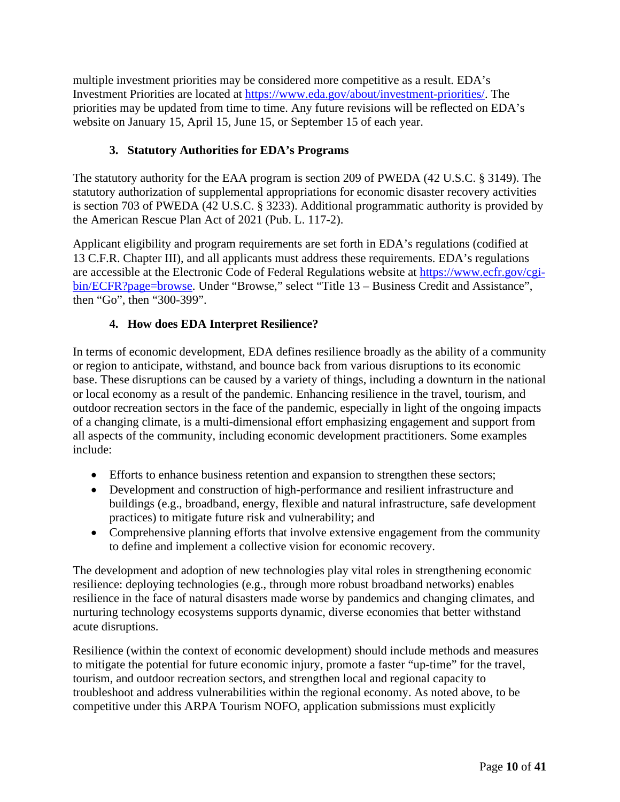multiple investment priorities may be considered more competitive as a result. EDA's Investment Priorities are located at [https://www.eda.gov/about/investment-priorities/.](https://www.eda.gov/about/investment-priorities/) The priorities may be updated from time to time. Any future revisions will be reflected on EDA's website on January 15, April 15, June 15, or September 15 of each year.

# **3. Statutory Authorities for EDA's Programs**

<span id="page-9-0"></span>The statutory authority for the EAA program is section 209 of PWEDA (42 U.S.C. § 3149). The statutory authorization of supplemental appropriations for economic disaster recovery activities is section 703 of PWEDA (42 U.S.C. § 3233). Additional programmatic authority is provided by the American Rescue Plan Act of 2021 (Pub. L. 117-2).

Applicant eligibility and program requirements are set forth in EDA's regulations (codified at 13 C.F.R. Chapter III), and all applicants must address these requirements. EDA's regulations are accessible at the Electronic Code of Federal Regulations website at [https://www.ecfr.gov/cgi](https://www.ecfr.gov/cgi-bin/ECFR?page=browse)[bin/ECFR?page=browse.](https://www.ecfr.gov/cgi-bin/ECFR?page=browse) Under "Browse," select "Title 13 – Business Credit and Assistance", then "Go", then "300-399".

# **4. How does EDA Interpret Resilience?**

<span id="page-9-1"></span>In terms of economic development, EDA defines resilience broadly as the ability of a community or region to anticipate, withstand, and bounce back from various disruptions to its economic base. These disruptions can be caused by a variety of things, including a downturn in the national or local economy as a result of the pandemic. Enhancing resilience in the travel, tourism, and outdoor recreation sectors in the face of the pandemic, especially in light of the ongoing impacts of a changing climate, is a multi-dimensional effort emphasizing engagement and support from all aspects of the community, including economic development practitioners. Some examples include:

- Efforts to enhance business retention and expansion to strengthen these sectors;
- Development and construction of high-performance and resilient infrastructure and buildings (e.g., broadband, energy, flexible and natural infrastructure, safe development practices) to mitigate future risk and vulnerability; and
- Comprehensive planning efforts that involve extensive engagement from the community to define and implement a collective vision for economic recovery.

The development and adoption of new technologies play vital roles in strengthening economic resilience: deploying technologies (e.g., through more robust broadband networks) enables resilience in the face of natural disasters made worse by pandemics and changing climates, and nurturing technology ecosystems supports dynamic, diverse economies that better withstand acute disruptions.

Resilience (within the context of economic development) should include methods and measures to mitigate the potential for future economic injury, promote a faster "up-time" for the travel, tourism, and outdoor recreation sectors, and strengthen local and regional capacity to troubleshoot and address vulnerabilities within the regional economy. As noted above, to be competitive under this ARPA Tourism NOFO, application submissions must explicitly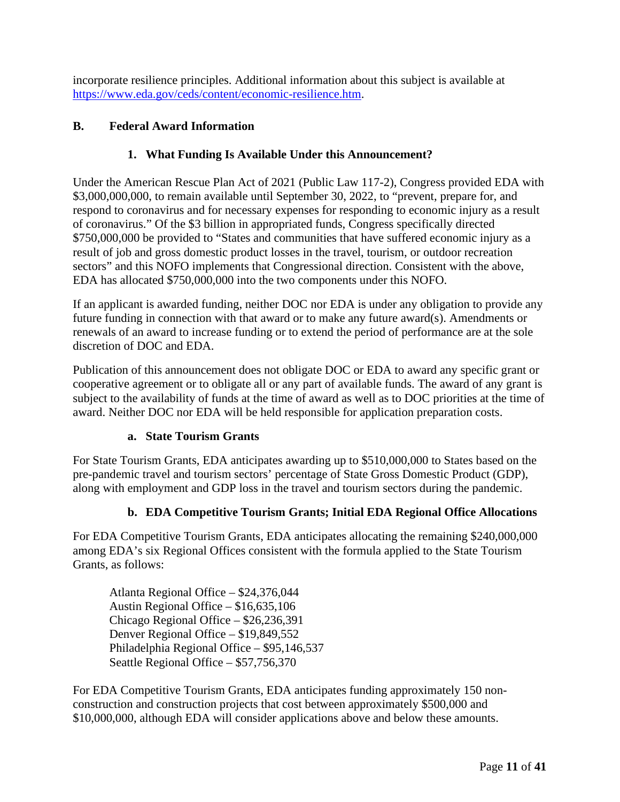incorporate resilience principles. Additional information about this subject is available at [https://www.eda.gov/ceds/content/economic-resilience.htm.](https://www.eda.gov/ceds/content/economic-resilience.htm)

# <span id="page-10-1"></span><span id="page-10-0"></span>**B. Federal Award Information**

# **1. What Funding Is Available Under this Announcement?**

Under the American Rescue Plan Act of 2021 (Public Law 117-2), Congress provided EDA with \$3,000,000,000, to remain available until September 30, 2022, to "prevent, prepare for, and respond to coronavirus and for necessary expenses for responding to economic injury as a result of coronavirus." Of the \$3 billion in appropriated funds, Congress specifically directed \$750,000,000 be provided to "States and communities that have suffered economic injury as a result of job and gross domestic product losses in the travel, tourism, or outdoor recreation sectors" and this NOFO implements that Congressional direction. Consistent with the above, EDA has allocated \$750,000,000 into the two components under this NOFO.

If an applicant is awarded funding, neither DOC nor EDA is under any obligation to provide any future funding in connection with that award or to make any future award(s). Amendments or renewals of an award to increase funding or to extend the period of performance are at the sole discretion of DOC and EDA.

Publication of this announcement does not obligate DOC or EDA to award any specific grant or cooperative agreement or to obligate all or any part of available funds. The award of any grant is subject to the availability of funds at the time of award as well as to DOC priorities at the time of award. Neither DOC nor EDA will be held responsible for application preparation costs.

# **a. State Tourism Grants**

For State Tourism Grants, EDA anticipates awarding up to \$510,000,000 to States based on the pre-pandemic travel and tourism sectors' percentage of State Gross Domestic Product (GDP), along with employment and GDP loss in the travel and tourism sectors during the pandemic.

# **b. EDA Competitive Tourism Grants; Initial EDA Regional Office Allocations**

For EDA Competitive Tourism Grants, EDA anticipates allocating the remaining \$240,000,000 among EDA's six Regional Offices consistent with the formula applied to the State Tourism Grants, as follows:

Atlanta Regional Office – \$24,376,044 Austin Regional Office – \$16,635,106 Chicago Regional Office – \$26,236,391 Denver Regional Office – \$19,849,552 Philadelphia Regional Office – \$95,146,537 Seattle Regional Office – \$57,756,370

For EDA Competitive Tourism Grants, EDA anticipates funding approximately 150 nonconstruction and construction projects that cost between approximately \$500,000 and \$10,000,000, although EDA will consider applications above and below these amounts.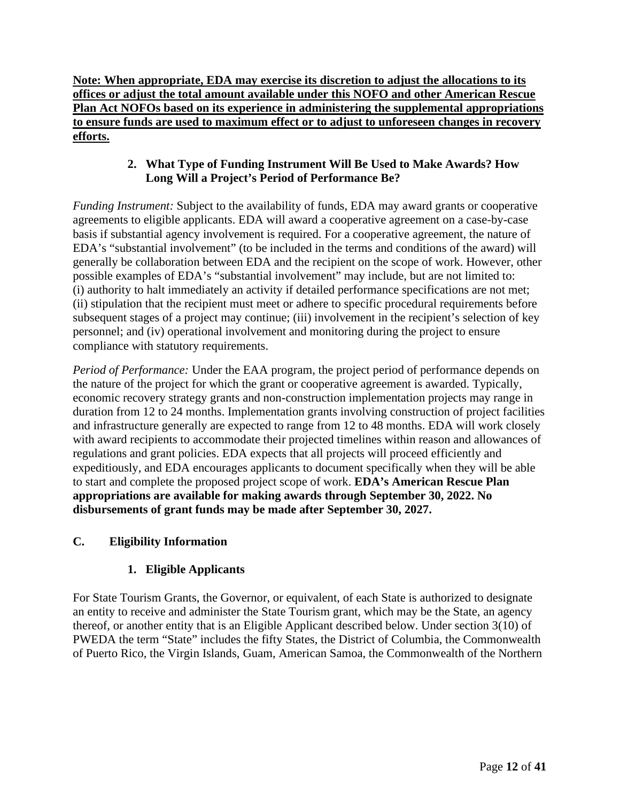**Note: When appropriate, EDA may exercise its discretion to adjust the allocations to its offices or adjust the total amount available under this NOFO and other American Rescue Plan Act NOFOs based on its experience in administering the supplemental appropriations to ensure funds are used to maximum effect or to adjust to unforeseen changes in recovery efforts.**

# **2. What Type of Funding Instrument Will Be Used to Make Awards? How Long Will a Project's Period of Performance Be?**

<span id="page-11-0"></span>*Funding Instrument:* Subject to the availability of funds, EDA may award grants or cooperative agreements to eligible applicants. EDA will award a cooperative agreement on a case-by-case basis if substantial agency involvement is required. For a cooperative agreement, the nature of EDA's "substantial involvement" (to be included in the terms and conditions of the award) will generally be collaboration between EDA and the recipient on the scope of work. However, other possible examples of EDA's "substantial involvement" may include, but are not limited to: (i) authority to halt immediately an activity if detailed performance specifications are not met; (ii) stipulation that the recipient must meet or adhere to specific procedural requirements before subsequent stages of a project may continue; (iii) involvement in the recipient's selection of key personnel; and (iv) operational involvement and monitoring during the project to ensure compliance with statutory requirements.

*Period of Performance:* Under the EAA program, the project period of performance depends on the nature of the project for which the grant or cooperative agreement is awarded. Typically, economic recovery strategy grants and non-construction implementation projects may range in duration from 12 to 24 months. Implementation grants involving construction of project facilities and infrastructure generally are expected to range from 12 to 48 months. EDA will work closely with award recipients to accommodate their projected timelines within reason and allowances of regulations and grant policies. EDA expects that all projects will proceed efficiently and expeditiously, and EDA encourages applicants to document specifically when they will be able to start and complete the proposed project scope of work. **EDA's American Rescue Plan appropriations are available for making awards through September 30, 2022. No disbursements of grant funds may be made after September 30, 2027.**

# <span id="page-11-2"></span><span id="page-11-1"></span>**C. Eligibility Information**

# **1. Eligible Applicants**

For State Tourism Grants, the Governor, or equivalent, of each State is authorized to designate an entity to receive and administer the State Tourism grant, which may be the State, an agency thereof, or another entity that is an Eligible Applicant described below. Under section 3(10) of PWEDA the term "State" includes the fifty States, the District of Columbia, the Commonwealth of Puerto Rico, the Virgin Islands, Guam, American Samoa, the Commonwealth of the Northern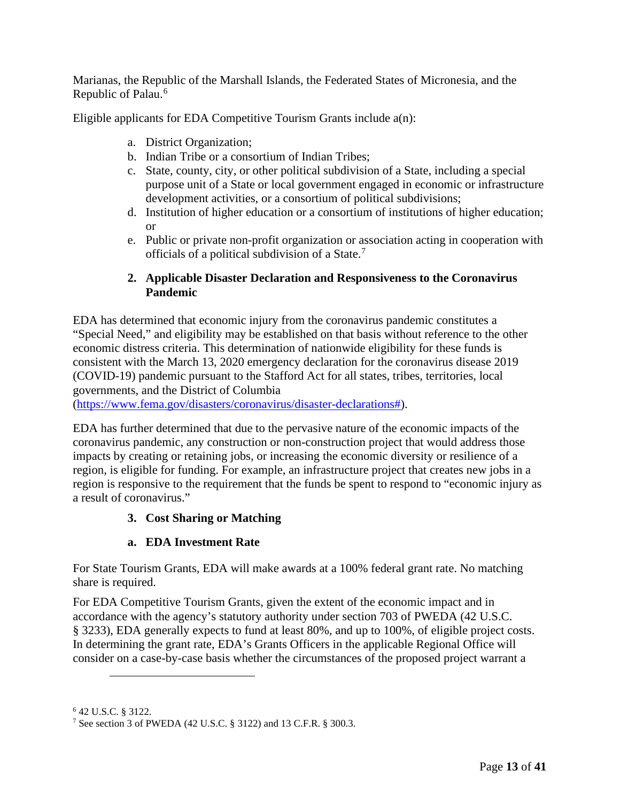Marianas, the Republic of the Marshall Islands, the Federated States of Micronesia, and the Republic of Palau.<sup>[6](#page-12-2)</sup>

Eligible applicants for EDA Competitive Tourism Grants include a(n):

- a. District Organization;
- b. Indian Tribe or a consortium of Indian Tribes;
- c. State, county, city, or other political subdivision of a State, including a special purpose unit of a State or local government engaged in economic or infrastructure development activities, or a consortium of political subdivisions;
- d. Institution of higher education or a consortium of institutions of higher education; or
- e. Public or private non-profit organization or association acting in cooperation with officials of a political subdivision of a State.<sup>[7](#page-12-3)</sup>

## **2. Applicable Disaster Declaration and Responsiveness to the Coronavirus Pandemic**

<span id="page-12-0"></span>EDA has determined that economic injury from the coronavirus pandemic constitutes a "Special Need," and eligibility may be established on that basis without reference to the other economic distress criteria. This determination of nationwide eligibility for these funds is consistent with the March 13, 2020 emergency declaration for the coronavirus disease 2019 (COVID-19) pandemic pursuant to the Stafford Act for all states, tribes, territories, local governments, and the District of Columbia

[\(https://www.fema.gov/disasters/coronavirus/disaster-declarations#\)](https://www.fema.gov/disasters/coronavirus/disaster-declarations).

EDA has further determined that due to the pervasive nature of the economic impacts of the coronavirus pandemic, any construction or non-construction project that would address those impacts by creating or retaining jobs, or increasing the economic diversity or resilience of a region, is eligible for funding. For example, an infrastructure project that creates new jobs in a region is responsive to the requirement that the funds be spent to respond to "economic injury as a result of coronavirus."

# **3. Cost Sharing or Matching**

### **a. EDA Investment Rate**

<span id="page-12-1"></span>For State Tourism Grants, EDA will make awards at a 100% federal grant rate. No matching share is required.

For EDA Competitive Tourism Grants, given the extent of the economic impact and in accordance with the agency's statutory authority under section 703 of PWEDA (42 U.S.C. § 3233), EDA generally expects to fund at least 80%, and up to 100%, of eligible project costs. In determining the grant rate, EDA's Grants Officers in the applicable Regional Office will consider on a case-by-case basis whether the circumstances of the proposed project warrant a

<span id="page-12-2"></span><sup>6</sup> 42 U.S.C. § 3122.

<span id="page-12-3"></span><sup>7</sup> See section 3 of PWEDA (42 U.S.C. § 3122) and 13 C.F.R. § 300.3.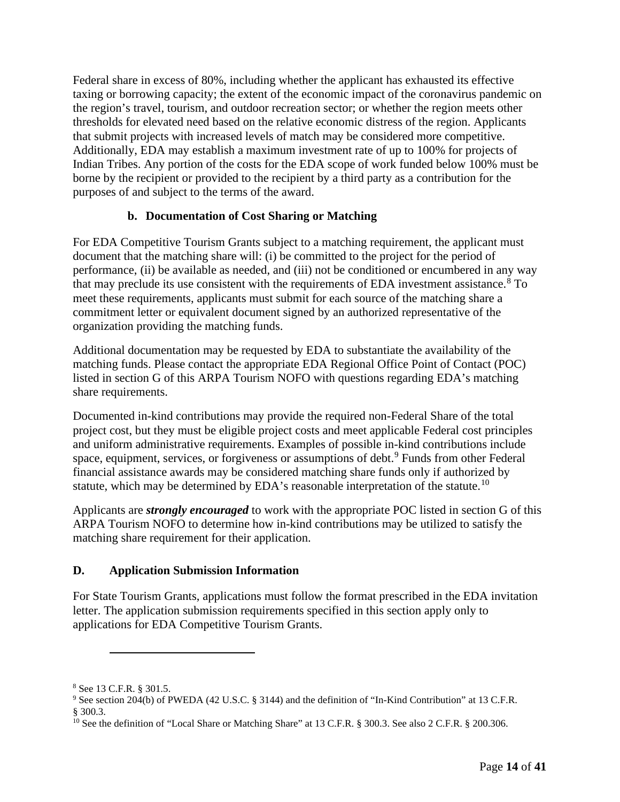Federal share in excess of 80%, including whether the applicant has exhausted its effective taxing or borrowing capacity; the extent of the economic impact of the coronavirus pandemic on the region's travel, tourism, and outdoor recreation sector; or whether the region meets other thresholds for elevated need based on the relative economic distress of the region. Applicants that submit projects with increased levels of match may be considered more competitive. Additionally, EDA may establish a maximum investment rate of up to 100% for projects of Indian Tribes. Any portion of the costs for the EDA scope of work funded below 100% must be borne by the recipient or provided to the recipient by a third party as a contribution for the purposes of and subject to the terms of the award.

# **b. Documentation of Cost Sharing or Matching**

For EDA Competitive Tourism Grants subject to a matching requirement, the applicant must document that the matching share will: (i) be committed to the project for the period of performance, (ii) be available as needed, and (iii) not be conditioned or encumbered in any way that may preclude its use consistent with the requirements of EDA investment assistance. $8$  To meet these requirements, applicants must submit for each source of the matching share a commitment letter or equivalent document signed by an authorized representative of the organization providing the matching funds.

Additional documentation may be requested by EDA to substantiate the availability of the matching funds. Please contact the appropriate EDA Regional Office Point of Contact (POC) listed in section G of this ARPA Tourism NOFO with questions regarding EDA's matching share requirements.

Documented in-kind contributions may provide the required non-Federal Share of the total project cost, but they must be eligible project costs and meet applicable Federal cost principles and uniform administrative requirements. Examples of possible in-kind contributions include space, equipment, services, or forgiveness or assumptions of debt.<sup>[9](#page-13-2)</sup> Funds from other Federal financial assistance awards may be considered matching share funds only if authorized by statute, which may be determined by EDA's reasonable interpretation of the statute.<sup>[10](#page-13-3)</sup>

Applicants are *strongly encouraged* to work with the appropriate POC listed in section G of this ARPA Tourism NOFO to determine how in-kind contributions may be utilized to satisfy the matching share requirement for their application.

# <span id="page-13-0"></span>**D. Application Submission Information**

For State Tourism Grants, applications must follow the format prescribed in the EDA invitation letter. The application submission requirements specified in this section apply only to applications for EDA Competitive Tourism Grants.

<span id="page-13-1"></span><sup>8</sup> See 13 C.F.R. § 301.5.

<span id="page-13-2"></span><sup>9</sup> See section 204(b) of PWEDA (42 U.S.C. § 3144) and the definition of "In-Kind Contribution" at 13 C.F.R. § 300.3.

<span id="page-13-3"></span><sup>&</sup>lt;sup>10</sup> See the definition of "Local Share or Matching Share" at 13 C.F.R. § 300.3. See also 2 C.F.R. § 200.306.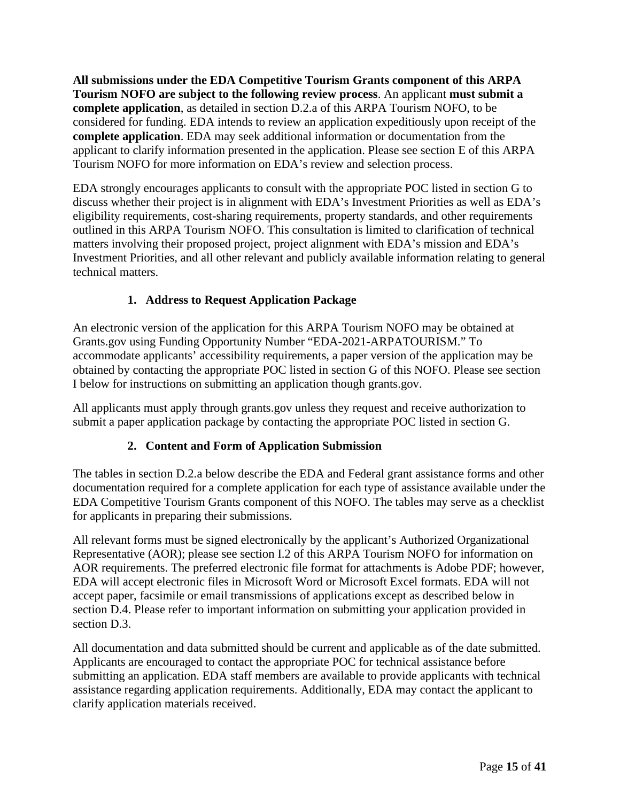**All submissions under the EDA Competitive Tourism Grants component of this ARPA Tourism NOFO are subject to the following review process**. An applicant **must submit a complete application**, as detailed in section D.2.a of this ARPA Tourism NOFO, to be considered for funding. EDA intends to review an application expeditiously upon receipt of the **complete application**. EDA may seek additional information or documentation from the applicant to clarify information presented in the application. Please see section E of this ARPA Tourism NOFO for more information on EDA's review and selection process.

EDA strongly encourages applicants to consult with the appropriate POC listed in section G to discuss whether their project is in alignment with EDA's Investment Priorities as well as EDA's eligibility requirements, cost-sharing requirements, property standards, and other requirements outlined in this ARPA Tourism NOFO. This consultation is limited to clarification of technical matters involving their proposed project, project alignment with EDA's mission and EDA's Investment Priorities, and all other relevant and publicly available information relating to general technical matters.

# **1. Address to Request Application Package**

<span id="page-14-0"></span>An electronic version of the application for this ARPA Tourism NOFO may be obtained at Grants.gov using Funding Opportunity Number "EDA-2021-ARPATOURISM." To accommodate applicants' accessibility requirements, a paper version of the application may be obtained by contacting the appropriate POC listed in section G of this NOFO. Please see section I below for instructions on submitting an application though grants.gov.

All applicants must apply through grants.gov unless they request and receive authorization to submit a paper application package by contacting the appropriate POC listed in section G.

# **2. Content and Form of Application Submission**

<span id="page-14-1"></span>The tables in section D.2.a below describe the EDA and Federal grant assistance forms and other documentation required for a complete application for each type of assistance available under the EDA Competitive Tourism Grants component of this NOFO. The tables may serve as a checklist for applicants in preparing their submissions.

All relevant forms must be signed electronically by the applicant's Authorized Organizational Representative (AOR); please see section I.2 of this ARPA Tourism NOFO for information on AOR requirements. The preferred electronic file format for attachments is Adobe PDF; however, EDA will accept electronic files in Microsoft Word or Microsoft Excel formats. EDA will not accept paper, facsimile or email transmissions of applications except as described below in section D.4. Please refer to important information on submitting your application provided in section D.3.

All documentation and data submitted should be current and applicable as of the date submitted. Applicants are encouraged to contact the appropriate POC for technical assistance before submitting an application. EDA staff members are available to provide applicants with technical assistance regarding application requirements. Additionally, EDA may contact the applicant to clarify application materials received.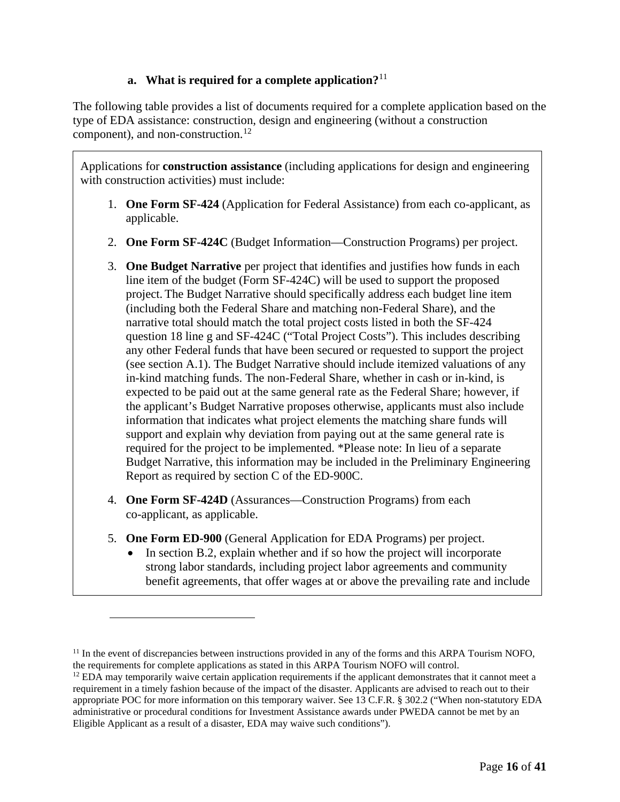# **a. What is required for a complete application?**[11](#page-15-0)

The following table provides a list of documents required for a complete application based on the type of EDA assistance: construction, design and engineering (without a construction component), and non-construction.<sup>[12](#page-15-1)</sup>

Applications for **construction assistance** (including applications for design and engineering with construction activities) must include:

- 1. **One Form SF-424** (Application for Federal Assistance) from each co-applicant, as applicable.
- 2. **One Form SF-424C** (Budget Information—Construction Programs) per project.
- 3. **One Budget Narrative** per project that identifies and justifies how funds in each line item of the budget (Form SF-424C) will be used to support the proposed project. The Budget Narrative should specifically address each budget line item (including both the Federal Share and matching non-Federal Share), and the narrative total should match the total project costs listed in both the SF-424 question 18 line g and SF-424C ("Total Project Costs"). This includes describing any other Federal funds that have been secured or requested to support the project (see section A.1). The Budget Narrative should include itemized valuations of any in-kind matching funds. The non-Federal Share, whether in cash or in-kind, is expected to be paid out at the same general rate as the Federal Share; however, if the applicant's Budget Narrative proposes otherwise, applicants must also include information that indicates what project elements the matching share funds will support and explain why deviation from paying out at the same general rate is required for the project to be implemented. \*Please note: In lieu of a separate Budget Narrative, this information may be included in the Preliminary Engineering Report as required by section C of the ED-900C.
- 4. **One Form SF-424D** (Assurances—Construction Programs) from each co-applicant, as applicable.
- 5. **One Form ED-900** (General Application for EDA Programs) per project.
	- In section B.2, explain whether and if so how the project will incorporate strong labor standards, including project labor agreements and community benefit agreements, that offer wages at or above the prevailing rate and include

<span id="page-15-0"></span><sup>&</sup>lt;sup>11</sup> In the event of discrepancies between instructions provided in any of the forms and this ARPA Tourism NOFO, the requirements for complete applications as stated in this ARPA Tourism NOFO will control.

<span id="page-15-1"></span> $12$  EDA may temporarily waive certain application requirements if the applicant demonstrates that it cannot meet a requirement in a timely fashion because of the impact of the disaster. Applicants are advised to reach out to their appropriate POC for more information on this temporary waiver. See 13 C.F.R. § 302.2 ("When non-statutory EDA administrative or procedural conditions for Investment Assistance awards under PWEDA cannot be met by an Eligible Applicant as a result of a disaster, EDA may waive such conditions").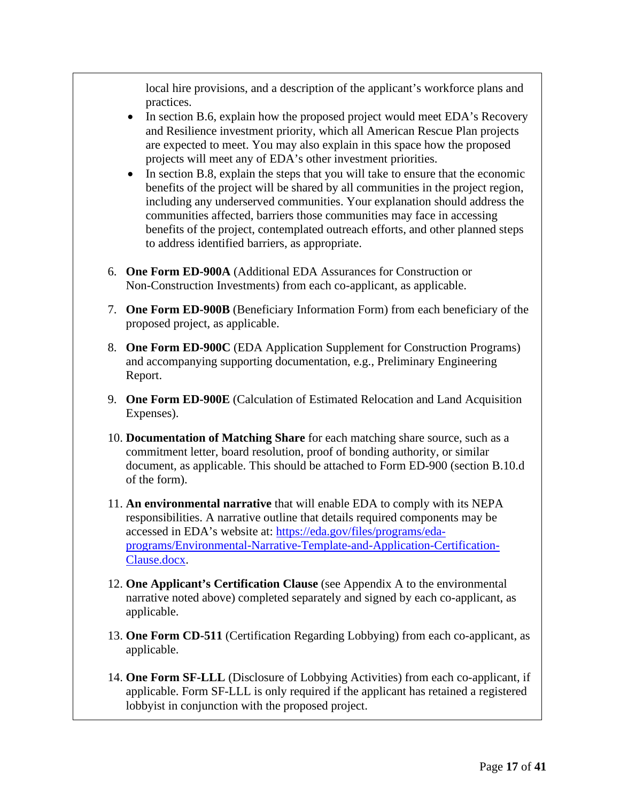local hire provisions, and a description of the applicant's workforce plans and practices.

- In section B.6, explain how the proposed project would meet EDA's Recovery and Resilience investment priority, which all American Rescue Plan projects are expected to meet. You may also explain in this space how the proposed projects will meet any of EDA's other investment priorities.
- In section B.8, explain the steps that you will take to ensure that the economic benefits of the project will be shared by all communities in the project region, including any underserved communities. Your explanation should address the communities affected, barriers those communities may face in accessing benefits of the project, contemplated outreach efforts, and other planned steps to address identified barriers, as appropriate.
- 6. **One Form ED-900A** (Additional EDA Assurances for Construction or Non-Construction Investments) from each co-applicant, as applicable.
- 7. **One Form ED-900B** (Beneficiary Information Form) from each beneficiary of the proposed project, as applicable.
- 8. **One Form ED-900C** (EDA Application Supplement for Construction Programs) and accompanying supporting documentation, e.g., Preliminary Engineering Report.
- 9. **One Form ED-900E** (Calculation of Estimated Relocation and Land Acquisition Expenses).
- 10. **Documentation of Matching Share** for each matching share source, such as a commitment letter, board resolution, proof of bonding authority, or similar document, as applicable. This should be attached to Form ED-900 (section B.10.d of the form).
- 11. **An environmental narrative** that will enable EDA to comply with its NEPA responsibilities. A narrative outline that details required components may be accessed in EDA's website at: [https://eda.gov/files/programs/eda](https://eda.gov/files/programs/eda-programs/Environmental-Narrative-Template-and-Application-Certification-Clause.docx)[programs/Environmental-Narrative-Template-and-Application-Certification-](https://eda.gov/files/programs/eda-programs/Environmental-Narrative-Template-and-Application-Certification-Clause.docx)[Clause.docx.](https://eda.gov/files/programs/eda-programs/Environmental-Narrative-Template-and-Application-Certification-Clause.docx)
- 12. **One Applicant's Certification Clause** (see Appendix A to the environmental narrative noted above) completed separately and signed by each co-applicant, as applicable.
- 13. **One Form CD-511** (Certification Regarding Lobbying) from each co-applicant, as applicable.
- 14. **One Form SF-LLL** (Disclosure of Lobbying Activities) from each co-applicant, if applicable. Form SF-LLL is only required if the applicant has retained a registered lobbyist in conjunction with the proposed project.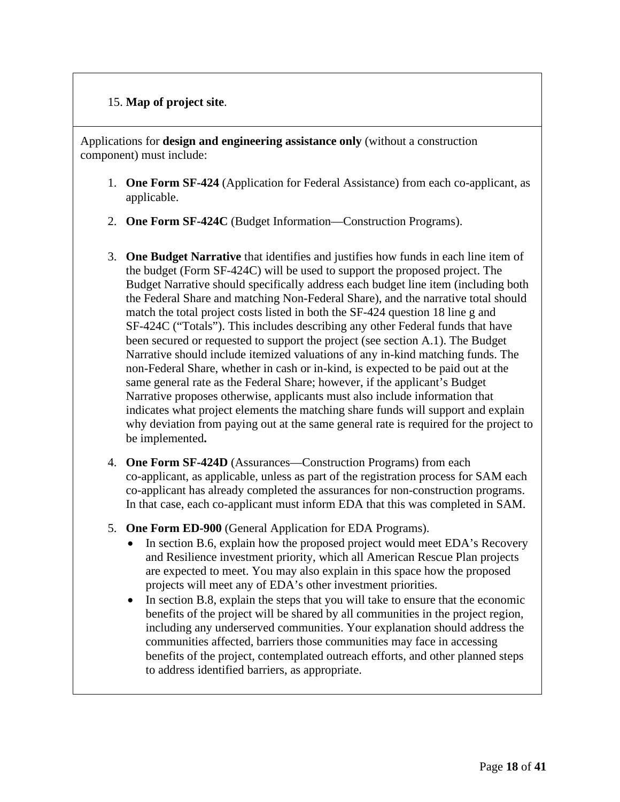# 15. **Map of project site**.

Applications for **design and engineering assistance only** (without a construction component) must include:

- 1. **One Form SF-424** (Application for Federal Assistance) from each co-applicant, as applicable.
- 2. **One Form SF-424C** (Budget Information—Construction Programs).
- 3. **One Budget Narrative** that identifies and justifies how funds in each line item of the budget (Form SF-424C) will be used to support the proposed project. The Budget Narrative should specifically address each budget line item (including both the Federal Share and matching Non-Federal Share), and the narrative total should match the total project costs listed in both the SF-424 question 18 line g and SF-424C ("Totals"). This includes describing any other Federal funds that have been secured or requested to support the project (see section A.1). The Budget Narrative should include itemized valuations of any in-kind matching funds. The non-Federal Share, whether in cash or in-kind, is expected to be paid out at the same general rate as the Federal Share; however, if the applicant's Budget Narrative proposes otherwise, applicants must also include information that indicates what project elements the matching share funds will support and explain why deviation from paying out at the same general rate is required for the project to be implemented**.**
- 4. **One Form SF-424D** (Assurances—Construction Programs) from each co-applicant, as applicable, unless as part of the registration process for SAM each co-applicant has already completed the assurances for non-construction programs. In that case, each co-applicant must inform EDA that this was completed in SAM.
- 5. **One Form ED-900** (General Application for EDA Programs).
	- In section B.6, explain how the proposed project would meet EDA's Recovery and Resilience investment priority, which all American Rescue Plan projects are expected to meet. You may also explain in this space how the proposed projects will meet any of EDA's other investment priorities.
	- In section B.8, explain the steps that you will take to ensure that the economic benefits of the project will be shared by all communities in the project region, including any underserved communities. Your explanation should address the communities affected, barriers those communities may face in accessing benefits of the project, contemplated outreach efforts, and other planned steps to address identified barriers, as appropriate.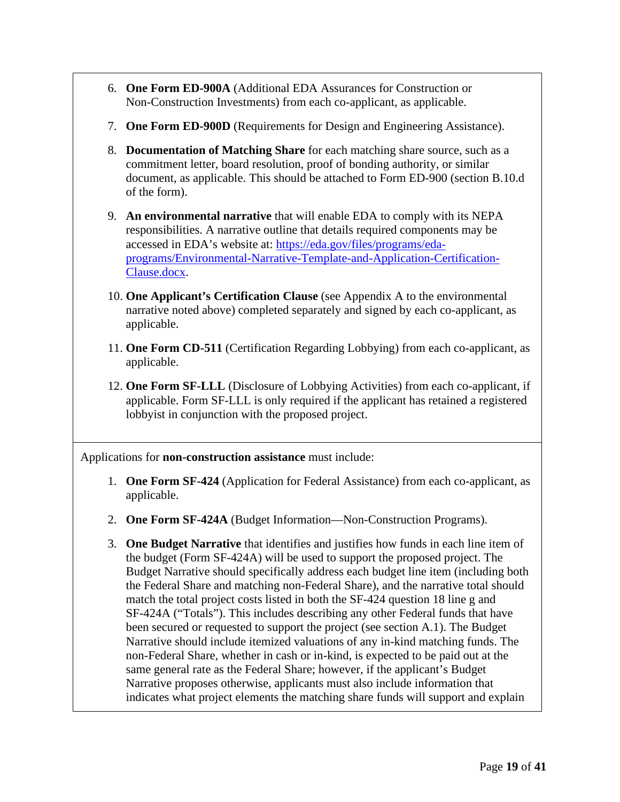- 6. **One Form ED-900A** (Additional EDA Assurances for Construction or Non-Construction Investments) from each co-applicant, as applicable.
- 7. **One Form ED-900D** (Requirements for Design and Engineering Assistance).
- 8. **Documentation of Matching Share** for each matching share source, such as a commitment letter, board resolution, proof of bonding authority, or similar document, as applicable. This should be attached to Form ED-900 (section B.10.d of the form).
- 9. **An environmental narrative** that will enable EDA to comply with its NEPA responsibilities. A narrative outline that details required components may be accessed in EDA's website at: [https://eda.gov/files/programs/eda](https://eda.gov/files/programs/eda-programs/Environmental-Narrative-Template-and-Application-Certification-Clause.docx)[programs/Environmental-Narrative-Template-and-Application-Certification-](https://eda.gov/files/programs/eda-programs/Environmental-Narrative-Template-and-Application-Certification-Clause.docx)[Clause.docx.](https://eda.gov/files/programs/eda-programs/Environmental-Narrative-Template-and-Application-Certification-Clause.docx)
- 10. **One Applicant's Certification Clause** (see Appendix A to the environmental narrative noted above) completed separately and signed by each co-applicant, as applicable.
- 11. **One Form CD-511** (Certification Regarding Lobbying) from each co-applicant, as applicable.
- 12. **One Form SF-LLL** (Disclosure of Lobbying Activities) from each co-applicant, if applicable. Form SF-LLL is only required if the applicant has retained a registered lobbyist in conjunction with the proposed project.

Applications for **non-construction assistance** must include:

- 1. **One Form SF-424** (Application for Federal Assistance) from each co-applicant, as applicable.
- 2. **One Form SF-424A** (Budget Information—Non-Construction Programs).
- 3. **One Budget Narrative** that identifies and justifies how funds in each line item of the budget (Form SF-424A) will be used to support the proposed project. The Budget Narrative should specifically address each budget line item (including both the Federal Share and matching non-Federal Share), and the narrative total should match the total project costs listed in both the SF-424 question 18 line g and SF-424A ("Totals"). This includes describing any other Federal funds that have been secured or requested to support the project (see section A.1). The Budget Narrative should include itemized valuations of any in-kind matching funds. The non-Federal Share, whether in cash or in-kind, is expected to be paid out at the same general rate as the Federal Share; however, if the applicant's Budget Narrative proposes otherwise, applicants must also include information that indicates what project elements the matching share funds will support and explain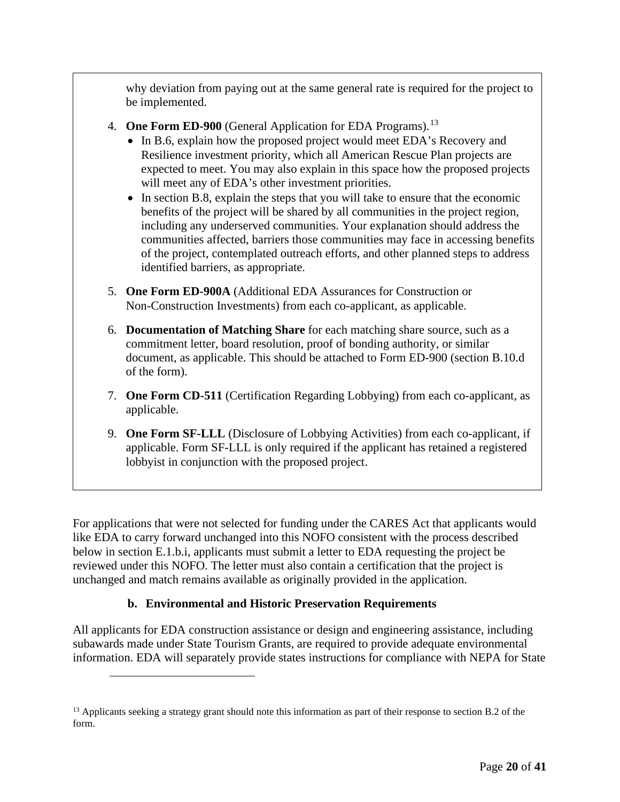why deviation from paying out at the same general rate is required for the project to be implemented.

- 4. **One Form ED-900** (General Application for EDA Programs).[13](#page-19-0)
	- In B.6, explain how the proposed project would meet EDA's Recovery and Resilience investment priority, which all American Rescue Plan projects are expected to meet. You may also explain in this space how the proposed projects will meet any of EDA's other investment priorities.
	- In section B.8, explain the steps that you will take to ensure that the economic benefits of the project will be shared by all communities in the project region, including any underserved communities. Your explanation should address the communities affected, barriers those communities may face in accessing benefits of the project, contemplated outreach efforts, and other planned steps to address identified barriers, as appropriate.
- 5. **One Form ED-900A** (Additional EDA Assurances for Construction or Non-Construction Investments) from each co-applicant, as applicable.
- 6. **Documentation of Matching Share** for each matching share source, such as a commitment letter, board resolution, proof of bonding authority, or similar document, as applicable. This should be attached to Form ED-900 (section B.10.d of the form).
- 7. **One Form CD-511** (Certification Regarding Lobbying) from each co-applicant, as applicable.
- 9. **One Form SF-LLL** (Disclosure of Lobbying Activities) from each co-applicant, if applicable. Form SF-LLL is only required if the applicant has retained a registered lobbyist in conjunction with the proposed project.

For applications that were not selected for funding under the CARES Act that applicants would like EDA to carry forward unchanged into this NOFO consistent with the process described below in section E.1.b.i, applicants must submit a letter to EDA requesting the project be reviewed under this NOFO. The letter must also contain a certification that the project is unchanged and match remains available as originally provided in the application.

# **b. Environmental and Historic Preservation Requirements**

All applicants for EDA construction assistance or design and engineering assistance, including subawards made under State Tourism Grants, are required to provide adequate environmental information. EDA will separately provide states instructions for compliance with NEPA for State

<span id="page-19-0"></span><sup>&</sup>lt;sup>13</sup> Applicants seeking a strategy grant should note this information as part of their response to section B.2 of the form.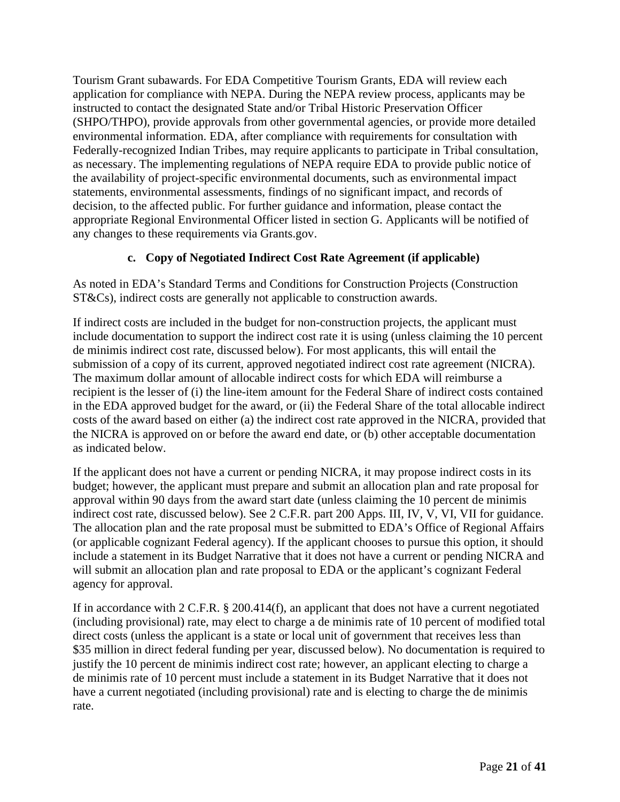Tourism Grant subawards. For EDA Competitive Tourism Grants, EDA will review each application for compliance with NEPA. During the NEPA review process, applicants may be instructed to contact the designated State and/or Tribal Historic Preservation Officer (SHPO/THPO), provide approvals from other governmental agencies, or provide more detailed environmental information. EDA, after compliance with requirements for consultation with Federally-recognized Indian Tribes, may require applicants to participate in Tribal consultation, as necessary. The implementing regulations of NEPA require EDA to provide public notice of the availability of project-specific environmental documents, such as environmental impact statements, environmental assessments, findings of no significant impact, and records of decision, to the affected public. For further guidance and information, please contact the appropriate Regional Environmental Officer listed in section G. Applicants will be notified of any changes to these requirements via Grants.gov.

# **c. Copy of Negotiated Indirect Cost Rate Agreement (if applicable)**

As noted in EDA's Standard Terms and Conditions for Construction Projects (Construction ST&Cs), indirect costs are generally not applicable to construction awards.

If indirect costs are included in the budget for non-construction projects, the applicant must include documentation to support the indirect cost rate it is using (unless claiming the 10 percent de minimis indirect cost rate, discussed below). For most applicants, this will entail the submission of a copy of its current, approved negotiated indirect cost rate agreement (NICRA). The maximum dollar amount of allocable indirect costs for which EDA will reimburse a recipient is the lesser of (i) the line-item amount for the Federal Share of indirect costs contained in the EDA approved budget for the award, or (ii) the Federal Share of the total allocable indirect costs of the award based on either (a) the indirect cost rate approved in the NICRA, provided that the NICRA is approved on or before the award end date, or (b) other acceptable documentation as indicated below.

If the applicant does not have a current or pending NICRA, it may propose indirect costs in its budget; however, the applicant must prepare and submit an allocation plan and rate proposal for approval within 90 days from the award start date (unless claiming the 10 percent de minimis indirect cost rate, discussed below). See 2 C.F.R. part 200 Apps. III, IV, V, VI, VII for guidance. The allocation plan and the rate proposal must be submitted to EDA's Office of Regional Affairs (or applicable cognizant Federal agency). If the applicant chooses to pursue this option, it should include a statement in its Budget Narrative that it does not have a current or pending NICRA and will submit an allocation plan and rate proposal to EDA or the applicant's cognizant Federal agency for approval.

If in accordance with 2 C.F.R. § 200.414(f), an applicant that does not have a current negotiated (including provisional) rate, may elect to charge a de minimis rate of 10 percent of modified total direct costs (unless the applicant is a state or local unit of government that receives less than \$35 million in direct federal funding per year, discussed below). No documentation is required to justify the 10 percent de minimis indirect cost rate; however, an applicant electing to charge a de minimis rate of 10 percent must include a statement in its Budget Narrative that it does not have a current negotiated (including provisional) rate and is electing to charge the de minimis rate.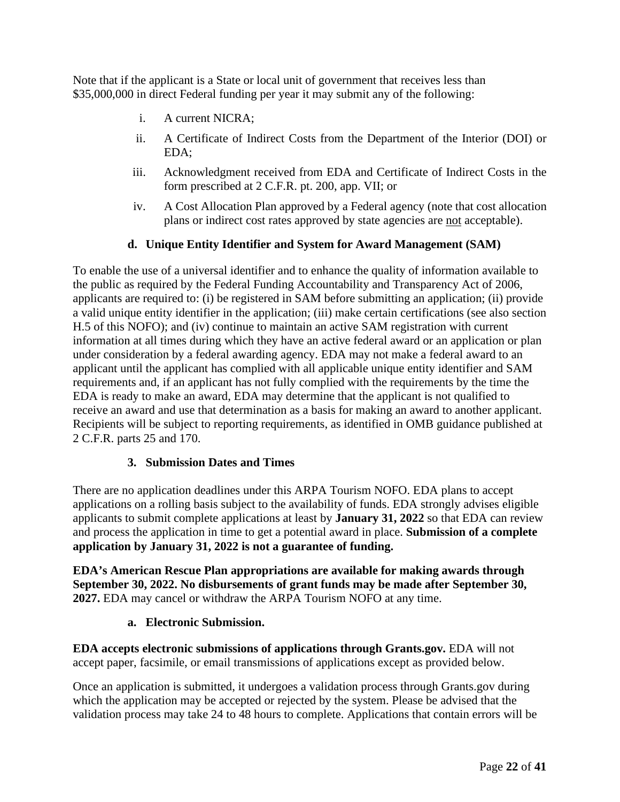Note that if the applicant is a State or local unit of government that receives less than \$35,000,000 in direct Federal funding per year it may submit any of the following:

- i. A current NICRA;
- ii. A Certificate of Indirect Costs from the Department of the Interior (DOI) or EDA;
- iii. Acknowledgment received from EDA and Certificate of Indirect Costs in the form prescribed at 2 C.F.R. pt. 200, app. VII; or
- iv. A Cost Allocation Plan approved by a Federal agency (note that cost allocation plans or indirect cost rates approved by state agencies are not acceptable).

# **d. Unique Entity Identifier and System for Award Management (SAM)**

To enable the use of a universal identifier and to enhance the quality of information available to the public as required by the Federal Funding Accountability and Transparency Act of 2006, applicants are required to: (i) be registered in SAM before submitting an application; (ii) provide a valid unique entity identifier in the application; (iii) make certain certifications (see also section H.5 of this NOFO); and (iv) continue to maintain an active SAM registration with current information at all times during which they have an active federal award or an application or plan under consideration by a federal awarding agency. EDA may not make a federal award to an applicant until the applicant has complied with all applicable unique entity identifier and SAM requirements and, if an applicant has not fully complied with the requirements by the time the EDA is ready to make an award, EDA may determine that the applicant is not qualified to receive an award and use that determination as a basis for making an award to another applicant. Recipients will be subject to reporting requirements, as identified in OMB guidance published at 2 C.F.R. parts 25 and 170.

# **3. Submission Dates and Times**

<span id="page-21-0"></span>There are no application deadlines under this ARPA Tourism NOFO. EDA plans to accept applications on a rolling basis subject to the availability of funds. EDA strongly advises eligible applicants to submit complete applications at least by **January 31, 2022** so that EDA can review and process the application in time to get a potential award in place. **Submission of a complete application by January 31, 2022 is not a guarantee of funding.** 

**EDA's American Rescue Plan appropriations are available for making awards through September 30, 2022. No disbursements of grant funds may be made after September 30, 2027.** EDA may cancel or withdraw the ARPA Tourism NOFO at any time.

# **a. Electronic Submission.**

**EDA accepts electronic submissions of applications through Grants.gov.** EDA will not accept paper, facsimile, or email transmissions of applications except as provided below.

Once an application is submitted, it undergoes a validation process through Grants.gov during which the application may be accepted or rejected by the system. Please be advised that the validation process may take 24 to 48 hours to complete. Applications that contain errors will be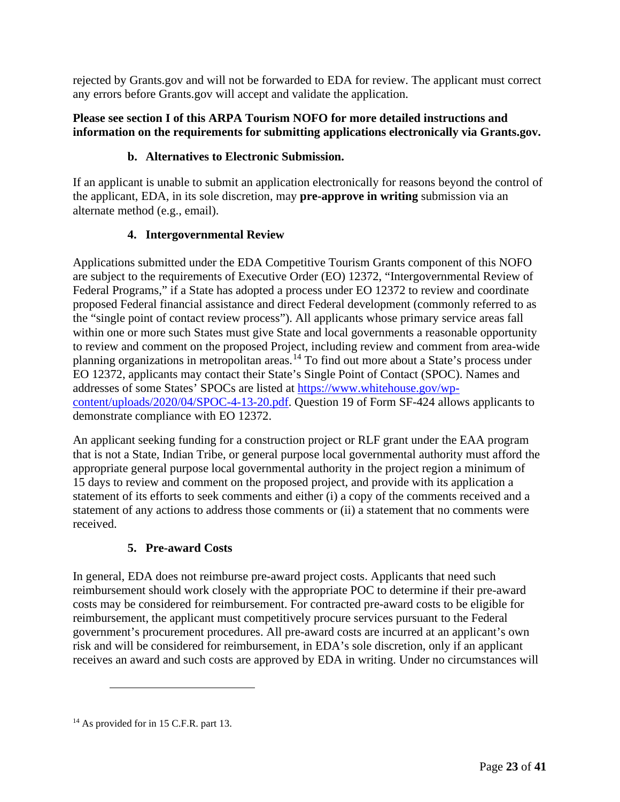rejected by Grants.gov and will not be forwarded to EDA for review. The applicant must correct any errors before Grants.gov will accept and validate the application.

## **Please see section I of this ARPA Tourism NOFO for more detailed instructions and information on the requirements for submitting applications electronically via Grants.gov.**

# **b. Alternatives to Electronic Submission.**

If an applicant is unable to submit an application electronically for reasons beyond the control of the applicant, EDA, in its sole discretion, may **pre-approve in writing** submission via an alternate method (e.g., email).

# **4. Intergovernmental Review**

<span id="page-22-0"></span>Applications submitted under the EDA Competitive Tourism Grants component of this NOFO are subject to the requirements of Executive Order (EO) 12372, "Intergovernmental Review of Federal Programs," if a State has adopted a process under EO 12372 to review and coordinate proposed Federal financial assistance and direct Federal development (commonly referred to as the "single point of contact review process"). All applicants whose primary service areas fall within one or more such States must give State and local governments a reasonable opportunity to review and comment on the proposed Project, including review and comment from area-wide planning organizations in metropolitan areas. [14](#page-22-2) To find out more about a State's process under EO 12372, applicants may contact their State's Single Point of Contact (SPOC). Names and addresses of some States' SPOCs are listed at [https://www.whitehouse.gov/wp](https://www.whitehouse.gov/wp-content/uploads/2020/04/SPOC-4-13-20.pdf)[content/uploads/2020/04/SPOC-4-13-20.pdf.](https://www.whitehouse.gov/wp-content/uploads/2020/04/SPOC-4-13-20.pdf) Question 19 of Form SF-424 allows applicants to demonstrate compliance with EO 12372.

An applicant seeking funding for a construction project or RLF grant under the EAA program that is not a State, Indian Tribe, or general purpose local governmental authority must afford the appropriate general purpose local governmental authority in the project region a minimum of 15 days to review and comment on the proposed project, and provide with its application a statement of its efforts to seek comments and either (i) a copy of the comments received and a statement of any actions to address those comments or (ii) a statement that no comments were received.

# **5. Pre-award Costs**

<span id="page-22-1"></span>In general, EDA does not reimburse pre-award project costs. Applicants that need such reimbursement should work closely with the appropriate POC to determine if their pre-award costs may be considered for reimbursement. For contracted pre-award costs to be eligible for reimbursement, the applicant must competitively procure services pursuant to the Federal government's procurement procedures. All pre-award costs are incurred at an applicant's own risk and will be considered for reimbursement, in EDA's sole discretion, only if an applicant receives an award and such costs are approved by EDA in writing. Under no circumstances will

<span id="page-22-2"></span><sup>&</sup>lt;sup>14</sup> As provided for in 15 C.F.R. part 13.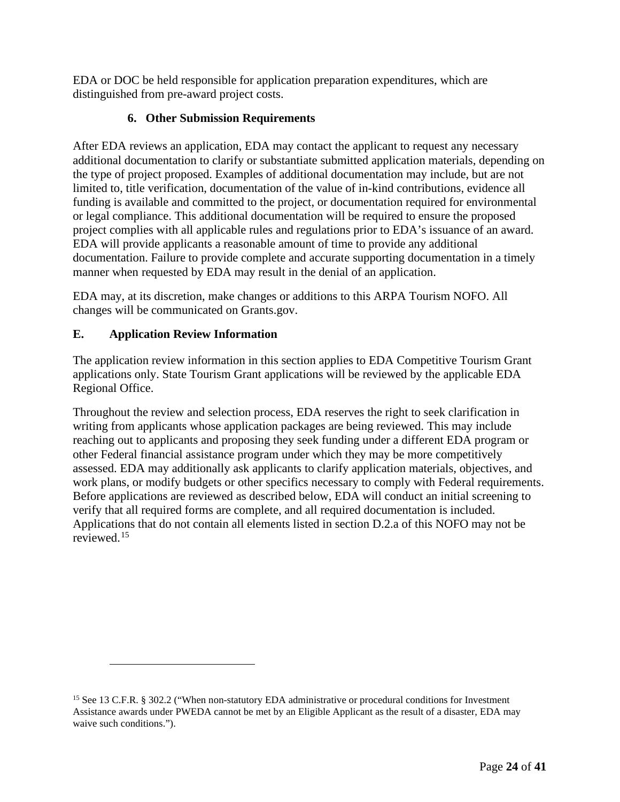EDA or DOC be held responsible for application preparation expenditures, which are distinguished from pre-award project costs.

# **6. Other Submission Requirements**

<span id="page-23-0"></span>After EDA reviews an application, EDA may contact the applicant to request any necessary additional documentation to clarify or substantiate submitted application materials, depending on the type of project proposed. Examples of additional documentation may include, but are not limited to, title verification, documentation of the value of in-kind contributions, evidence all funding is available and committed to the project, or documentation required for environmental or legal compliance. This additional documentation will be required to ensure the proposed project complies with all applicable rules and regulations prior to EDA's issuance of an award. EDA will provide applicants a reasonable amount of time to provide any additional documentation. Failure to provide complete and accurate supporting documentation in a timely manner when requested by EDA may result in the denial of an application.

EDA may, at its discretion, make changes or additions to this ARPA Tourism NOFO. All changes will be communicated on Grants.gov.

# <span id="page-23-1"></span>**E. Application Review Information**

The application review information in this section applies to EDA Competitive Tourism Grant applications only. State Tourism Grant applications will be reviewed by the applicable EDA Regional Office.

Throughout the review and selection process, EDA reserves the right to seek clarification in writing from applicants whose application packages are being reviewed. This may include reaching out to applicants and proposing they seek funding under a different EDA program or other Federal financial assistance program under which they may be more competitively assessed. EDA may additionally ask applicants to clarify application materials, objectives, and work plans, or modify budgets or other specifics necessary to comply with Federal requirements. Before applications are reviewed as described below, EDA will conduct an initial screening to verify that all required forms are complete, and all required documentation is included. Applications that do not contain all elements listed in section D.2.a of this NOFO may not be reviewed. [15](#page-23-2)

<span id="page-23-2"></span><sup>&</sup>lt;sup>15</sup> See 13 C.F.R. § 302.2 ("When non-statutory EDA administrative or procedural conditions for Investment Assistance awards under PWEDA cannot be met by an Eligible Applicant as the result of a disaster, EDA may waive such conditions.").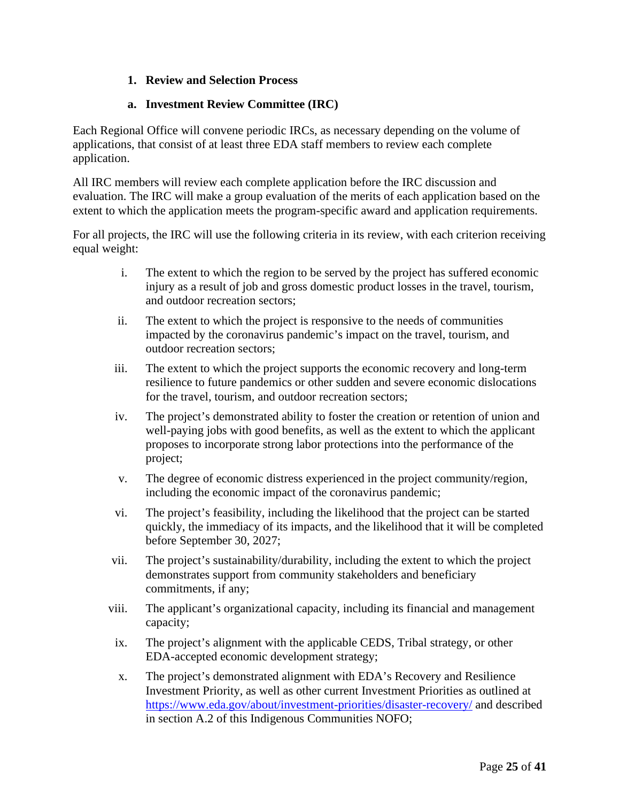# **1. Review and Selection Process**

### **a. Investment Review Committee (IRC)**

<span id="page-24-0"></span>Each Regional Office will convene periodic IRCs, as necessary depending on the volume of applications, that consist of at least three EDA staff members to review each complete application.

All IRC members will review each complete application before the IRC discussion and evaluation. The IRC will make a group evaluation of the merits of each application based on the extent to which the application meets the program-specific award and application requirements.

For all projects, the IRC will use the following criteria in its review, with each criterion receiving equal weight:

- i. The extent to which the region to be served by the project has suffered economic injury as a result of job and gross domestic product losses in the travel, tourism, and outdoor recreation sectors;
- ii. The extent to which the project is responsive to the needs of communities impacted by the coronavirus pandemic's impact on the travel, tourism, and outdoor recreation sectors;
- iii. The extent to which the project supports the economic recovery and long-term resilience to future pandemics or other sudden and severe economic dislocations for the travel, tourism, and outdoor recreation sectors;
- iv. The project's demonstrated ability to foster the creation or retention of union and well-paying jobs with good benefits, as well as the extent to which the applicant proposes to incorporate strong labor protections into the performance of the project;
- v. The degree of economic distress experienced in the project community/region, including the economic impact of the coronavirus pandemic;
- vi. The project's feasibility, including the likelihood that the project can be started quickly, the immediacy of its impacts, and the likelihood that it will be completed before September 30, 2027;
- vii. The project's sustainability/durability, including the extent to which the project demonstrates support from community stakeholders and beneficiary commitments, if any;
- viii. The applicant's organizational capacity, including its financial and management capacity;
- ix. The project's alignment with the applicable CEDS, Tribal strategy, or other EDA-accepted economic development strategy;
- x. The project's demonstrated alignment with EDA's Recovery and Resilience Investment Priority, as well as other current Investment Priorities as outlined at <https://www.eda.gov/about/investment-priorities/disaster-recovery/> and described in section A.2 of this Indigenous Communities NOFO;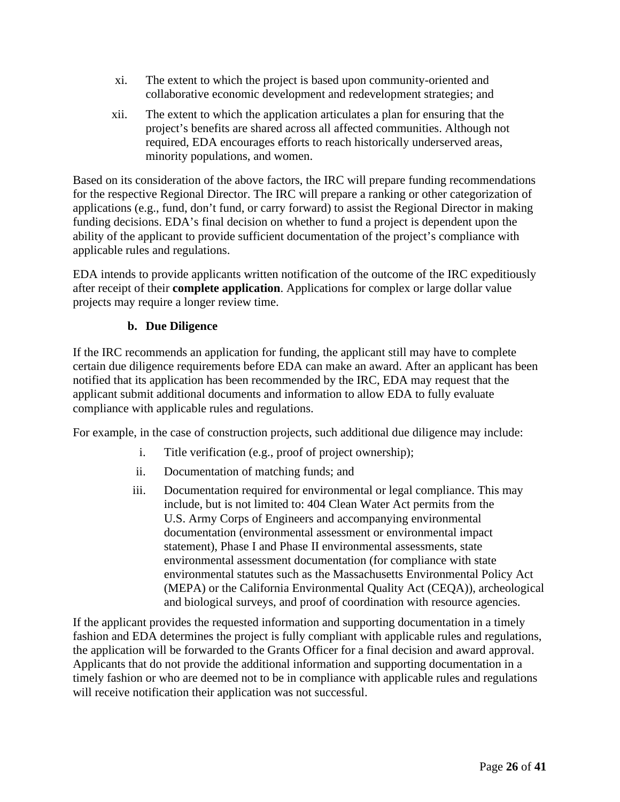- xi. The extent to which the project is based upon community-oriented and collaborative economic development and redevelopment strategies; and
- xii. The extent to which the application articulates a plan for ensuring that the project's benefits are shared across all affected communities. Although not required, EDA encourages efforts to reach historically underserved areas, minority populations, and women.

Based on its consideration of the above factors, the IRC will prepare funding recommendations for the respective Regional Director. The IRC will prepare a ranking or other categorization of applications (e.g., fund, don't fund, or carry forward) to assist the Regional Director in making funding decisions. EDA's final decision on whether to fund a project is dependent upon the ability of the applicant to provide sufficient documentation of the project's compliance with applicable rules and regulations.

EDA intends to provide applicants written notification of the outcome of the IRC expeditiously after receipt of their **complete application**. Applications for complex or large dollar value projects may require a longer review time.

# **b. Due Diligence**

If the IRC recommends an application for funding, the applicant still may have to complete certain due diligence requirements before EDA can make an award. After an applicant has been notified that its application has been recommended by the IRC, EDA may request that the applicant submit additional documents and information to allow EDA to fully evaluate compliance with applicable rules and regulations.

For example, in the case of construction projects, such additional due diligence may include:

- i. Title verification (e.g., proof of project ownership);
- ii. Documentation of matching funds; and
- iii. Documentation required for environmental or legal compliance. This may include, but is not limited to: 404 Clean Water Act permits from the U.S. Army Corps of Engineers and accompanying environmental documentation (environmental assessment or environmental impact statement), Phase I and Phase II environmental assessments, state environmental assessment documentation (for compliance with state environmental statutes such as the Massachusetts Environmental Policy Act (MEPA) or the California Environmental Quality Act (CEQA)), archeological and biological surveys, and proof of coordination with resource agencies.

If the applicant provides the requested information and supporting documentation in a timely fashion and EDA determines the project is fully compliant with applicable rules and regulations, the application will be forwarded to the Grants Officer for a final decision and award approval. Applicants that do not provide the additional information and supporting documentation in a timely fashion or who are deemed not to be in compliance with applicable rules and regulations will receive notification their application was not successful.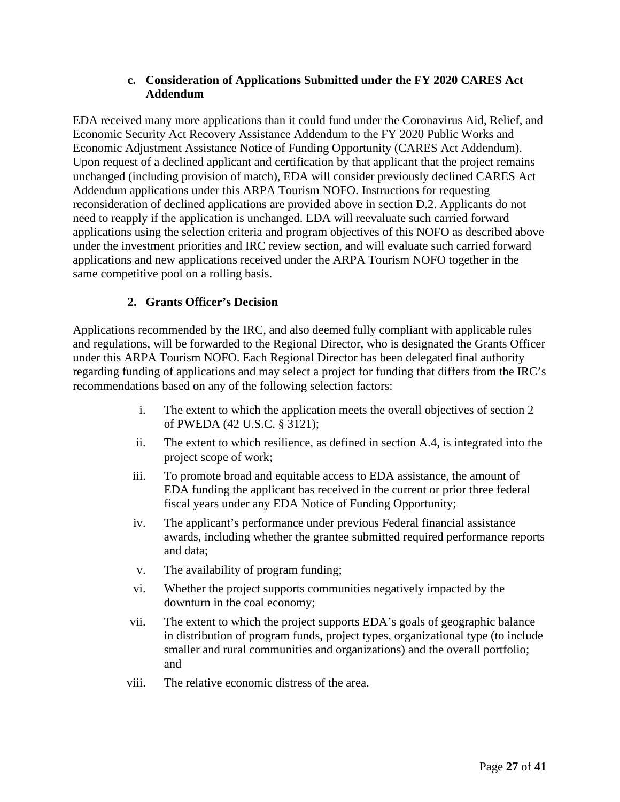## **c. Consideration of Applications Submitted under the FY 2020 CARES Act Addendum**

EDA received many more applications than it could fund under the Coronavirus Aid, Relief, and Economic Security Act Recovery Assistance Addendum to the FY 2020 Public Works and Economic Adjustment Assistance Notice of Funding Opportunity (CARES Act Addendum). Upon request of a declined applicant and certification by that applicant that the project remains unchanged (including provision of match), EDA will consider previously declined CARES Act Addendum applications under this ARPA Tourism NOFO. Instructions for requesting reconsideration of declined applications are provided above in section D.2. Applicants do not need to reapply if the application is unchanged. EDA will reevaluate such carried forward applications using the selection criteria and program objectives of this NOFO as described above under the investment priorities and IRC review section, and will evaluate such carried forward applications and new applications received under the ARPA Tourism NOFO together in the same competitive pool on a rolling basis.

# **2. Grants Officer's Decision**

<span id="page-26-0"></span>Applications recommended by the IRC, and also deemed fully compliant with applicable rules and regulations, will be forwarded to the Regional Director, who is designated the Grants Officer under this ARPA Tourism NOFO. Each Regional Director has been delegated final authority regarding funding of applications and may select a project for funding that differs from the IRC's recommendations based on any of the following selection factors:

- i. The extent to which the application meets the overall objectives of section 2 of PWEDA (42 U.S.C. § 3121);
- ii. The extent to which resilience, as defined in section A.4, is integrated into the project scope of work;
- iii. To promote broad and equitable access to EDA assistance, the amount of EDA funding the applicant has received in the current or prior three federal fiscal years under any EDA Notice of Funding Opportunity;
- iv. The applicant's performance under previous Federal financial assistance awards, including whether the grantee submitted required performance reports and data;
- v. The availability of program funding;
- vi. Whether the project supports communities negatively impacted by the downturn in the coal economy;
- vii. The extent to which the project supports EDA's goals of geographic balance in distribution of program funds, project types, organizational type (to include smaller and rural communities and organizations) and the overall portfolio; and
- viii. The relative economic distress of the area.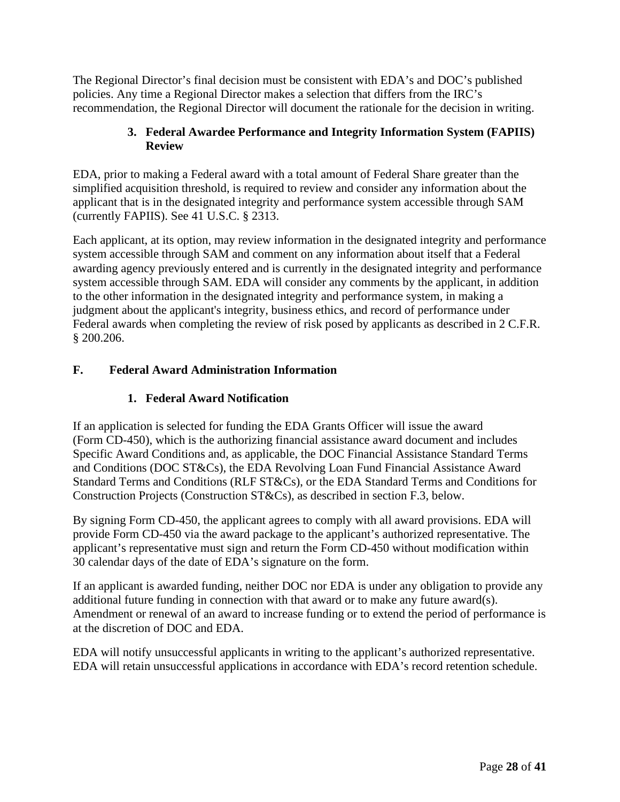The Regional Director's final decision must be consistent with EDA's and DOC's published policies. Any time a Regional Director makes a selection that differs from the IRC's recommendation, the Regional Director will document the rationale for the decision in writing.

# **3. Federal Awardee Performance and Integrity Information System (FAPIIS) Review**

<span id="page-27-0"></span>EDA, prior to making a Federal award with a total amount of Federal Share greater than the simplified acquisition threshold, is required to review and consider any information about the applicant that is in the designated integrity and performance system accessible through SAM (currently FAPIIS). See 41 U.S.C. § 2313.

Each applicant, at its option, may review information in the designated integrity and performance system accessible through SAM and comment on any information about itself that a Federal awarding agency previously entered and is currently in the designated integrity and performance system accessible through SAM. EDA will consider any comments by the applicant, in addition to the other information in the designated integrity and performance system, in making a judgment about the applicant's integrity, business ethics, and record of performance under Federal awards when completing the review of risk posed by applicants as described in 2 C.F.R. § 200.206.

# <span id="page-27-2"></span><span id="page-27-1"></span>**F. Federal Award Administration Information**

# **1. Federal Award Notification**

If an application is selected for funding the EDA Grants Officer will issue the award (Form CD-450), which is the authorizing financial assistance award document and includes Specific Award Conditions and, as applicable, the DOC Financial Assistance Standard Terms and Conditions (DOC ST&Cs), the EDA Revolving Loan Fund Financial Assistance Award Standard Terms and Conditions (RLF ST&Cs), or the EDA Standard Terms and Conditions for Construction Projects (Construction ST&Cs), as described in section F.3, below.

By signing Form CD-450, the applicant agrees to comply with all award provisions. EDA will provide Form CD-450 via the award package to the applicant's authorized representative. The applicant's representative must sign and return the Form CD-450 without modification within 30 calendar days of the date of EDA's signature on the form.

If an applicant is awarded funding, neither DOC nor EDA is under any obligation to provide any additional future funding in connection with that award or to make any future award(s). Amendment or renewal of an award to increase funding or to extend the period of performance is at the discretion of DOC and EDA.

EDA will notify unsuccessful applicants in writing to the applicant's authorized representative. EDA will retain unsuccessful applications in accordance with EDA's record retention schedule.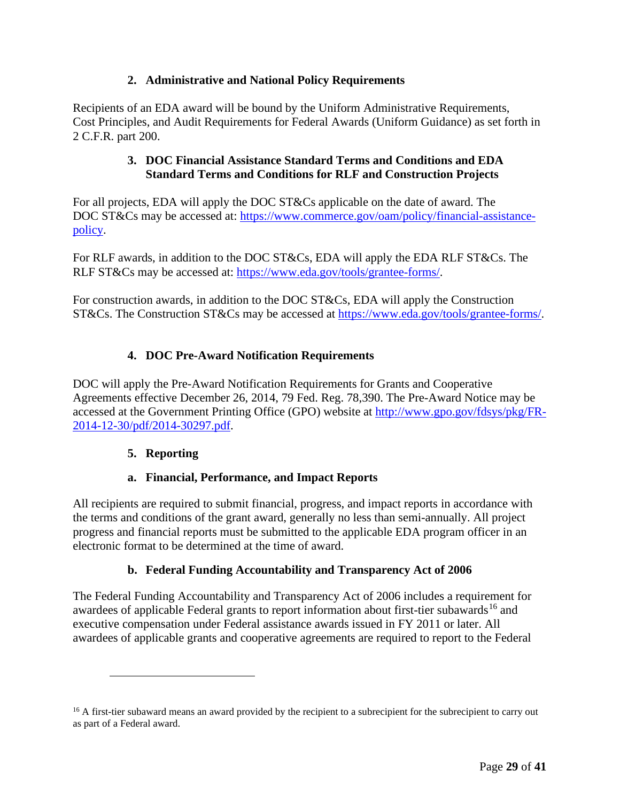# **2. Administrative and National Policy Requirements**

<span id="page-28-0"></span>Recipients of an EDA award will be bound by the Uniform Administrative Requirements, Cost Principles, and Audit Requirements for Federal Awards (Uniform Guidance) as set forth in 2 C.F.R. part 200.

# **3. DOC Financial Assistance Standard Terms and Conditions and EDA Standard Terms and Conditions for RLF and Construction Projects**

<span id="page-28-1"></span>For all projects, EDA will apply the DOC ST&Cs applicable on the date of award. The DOC ST&Cs may be accessed at: [https://www.commerce.gov/oam/policy/financial-assistance](https://www.commerce.gov/oam/policy/financial-assistance-policy)[policy.](https://www.commerce.gov/oam/policy/financial-assistance-policy)

For RLF awards, in addition to the DOC ST&Cs, EDA will apply the EDA RLF ST&Cs. The RLF ST&Cs may be accessed at: [https://www.eda.gov/tools/grantee-forms/.](https://www.eda.gov/tools/grantee-forms/)

For construction awards, in addition to the DOC ST&Cs, EDA will apply the Construction ST&Cs. The Construction ST&Cs may be accessed at [https://www.eda.gov/tools/grantee-forms/.](https://www.eda.gov/tools/grantee-forms/)

# **4. DOC Pre-Award Notification Requirements**

<span id="page-28-2"></span>DOC will apply the Pre-Award Notification Requirements for Grants and Cooperative Agreements effective December 26, 2014, 79 Fed. Reg. 78,390. The Pre-Award Notice may be accessed at the Government Printing Office (GPO) website at [http://www.gpo.gov/fdsys/pkg/FR-](http://www.gpo.gov/fdsys/pkg/FR-2014-12-30/pdf/2014-30297.pdf)[2014-12-30/pdf/2014-30297.pdf.](http://www.gpo.gov/fdsys/pkg/FR-2014-12-30/pdf/2014-30297.pdf)

# **5. Reporting**

# **a. Financial, Performance, and Impact Reports**

<span id="page-28-3"></span>All recipients are required to submit financial, progress, and impact reports in accordance with the terms and conditions of the grant award, generally no less than semi-annually. All project progress and financial reports must be submitted to the applicable EDA program officer in an electronic format to be determined at the time of award.

# **b. Federal Funding Accountability and Transparency Act of 2006**

The Federal Funding Accountability and Transparency Act of 2006 includes a requirement for awardees of applicable Federal grants to report information about first-tier subawards<sup>[16](#page-28-4)</sup> and executive compensation under Federal assistance awards issued in FY 2011 or later. All awardees of applicable grants and cooperative agreements are required to report to the Federal

<span id="page-28-4"></span><sup>&</sup>lt;sup>16</sup> A first-tier subaward means an award provided by the recipient to a subrecipient for the subrecipient to carry out as part of a Federal award.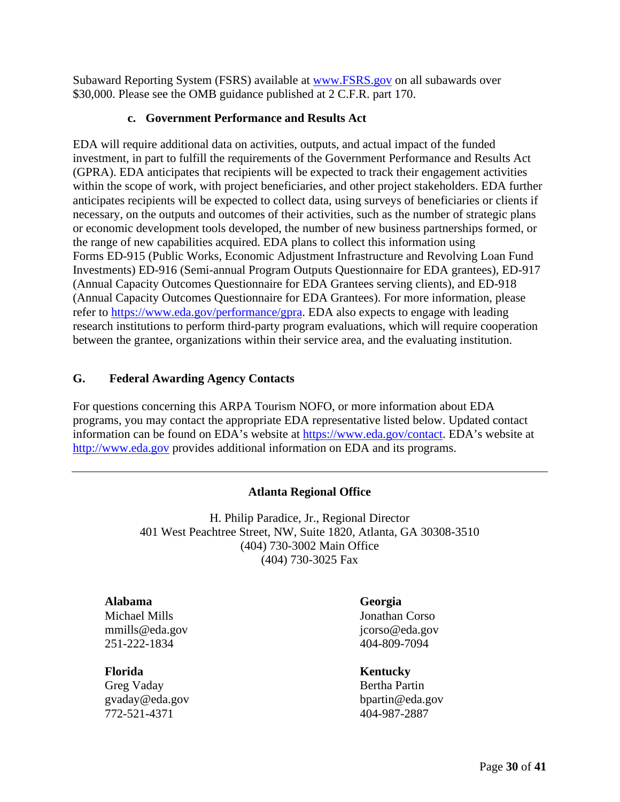Subaward Reporting System (FSRS) available at [www.FSRS.gov](http://www.fsrs.gov/) on all subawards over \$30,000. Please see the OMB guidance published at 2 C.F.R. part 170.

## **c. Government Performance and Results Act**

EDA will require additional data on activities, outputs, and actual impact of the funded investment, in part to fulfill the requirements of the Government Performance and Results Act (GPRA). EDA anticipates that recipients will be expected to track their engagement activities within the scope of work, with project beneficiaries, and other project stakeholders. EDA further anticipates recipients will be expected to collect data, using surveys of beneficiaries or clients if necessary, on the outputs and outcomes of their activities, such as the number of strategic plans or economic development tools developed, the number of new business partnerships formed, or the range of new capabilities acquired. EDA plans to collect this information using Forms ED-915 (Public Works, Economic Adjustment Infrastructure and Revolving Loan Fund Investments) ED-916 (Semi-annual Program Outputs Questionnaire for EDA grantees), ED-917 (Annual Capacity Outcomes Questionnaire for EDA Grantees serving clients), and ED-918 (Annual Capacity Outcomes Questionnaire for EDA Grantees). For more information, please refer to [https://www.eda.gov/performance/gpra.](https://www.eda.gov/performance/gpra) EDA also expects to engage with leading research institutions to perform third-party program evaluations, which will require cooperation between the grantee, organizations within their service area, and the evaluating institution.

# <span id="page-29-0"></span>**G. Federal Awarding Agency Contacts**

For questions concerning this ARPA Tourism NOFO, or more information about EDA programs, you may contact the appropriate EDA representative listed below. Updated contact information can be found on EDA's website at [https://www.eda.gov/contact.](https://www.eda.gov/contact) EDA's website at [http://www.eda.gov](http://www.eda.gov/) provides additional information on EDA and its programs.

# **Atlanta Regional Office**

<span id="page-29-1"></span>H. Philip Paradice, Jr., Regional Director 401 West Peachtree Street, NW, Suite 1820, Atlanta, GA 30308-3510 (404) 730-3002 Main Office (404) 730-3025 Fax

### **Alabama**

Michael Mills mmills@eda.gov 251-222-1834

**Florida** Greg Vaday gvaday@eda.gov 772-521-4371

# **Georgia**

Jonathan Corso jcorso@eda.gov 404-809-7094

### **Kentucky**

Bertha Partin bpartin@eda.gov 404-987-2887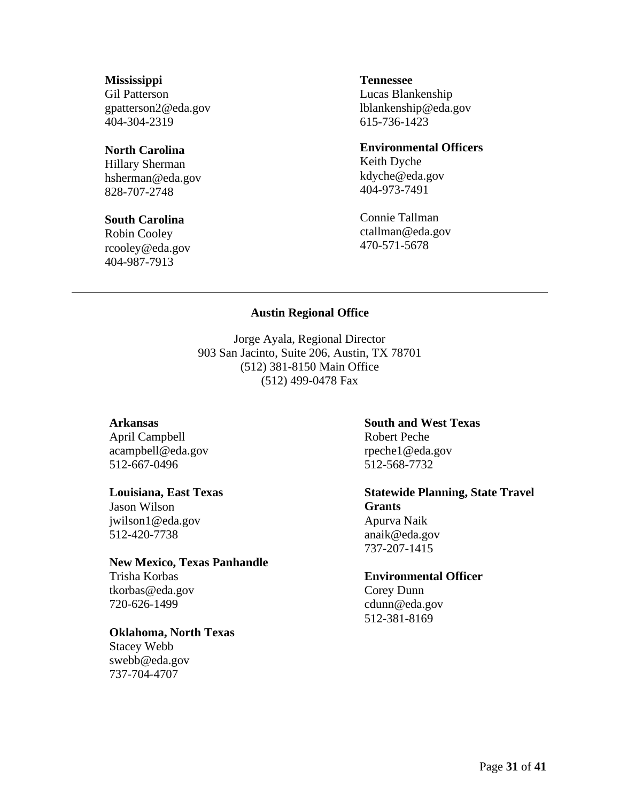### **Mississippi**

Gil Patterson gpatterson2@eda.gov 404-304-2319

#### **North Carolina**

Hillary Sherman hsherman@eda.gov 828-707-2748

#### **South Carolina**

<span id="page-30-0"></span>Robin Cooley rcooley@eda.gov 404-987-7913

#### **Tennessee**

Lucas Blankenship lblankenship@eda.gov 615-736-1423

#### **Environmental Officers**

Keith Dyche kdyche@eda.gov 404-973-7491

Connie Tallman ctallman@eda.gov 470-571-5678

#### **Austin Regional Office**

Jorge Ayala, Regional Director 903 San Jacinto, Suite 206, Austin, TX 78701 (512) 381-8150 Main Office (512) 499-0478 Fax

#### **Arkansas**

April Campbell acampbell@eda.gov 512-667-0496

#### **Louisiana, East Texas**

Jason Wilson jwilson1@eda.gov 512-420-7738

#### **New Mexico, Texas Panhandle**

Trisha Korbas tkorbas@eda.gov 720-626-1499

#### **Oklahoma, North Texas**

Stacey Webb swebb@eda.gov 737-704-4707

**South and West Texas** Robert Peche rpeche1@eda.gov 512-568-7732

# **Statewide Planning, State Travel Grants** Apurva Naik

anaik@eda.gov 737-207-1415

#### **Environmental Officer**

Corey Dunn cdunn@eda.gov 512-381-8169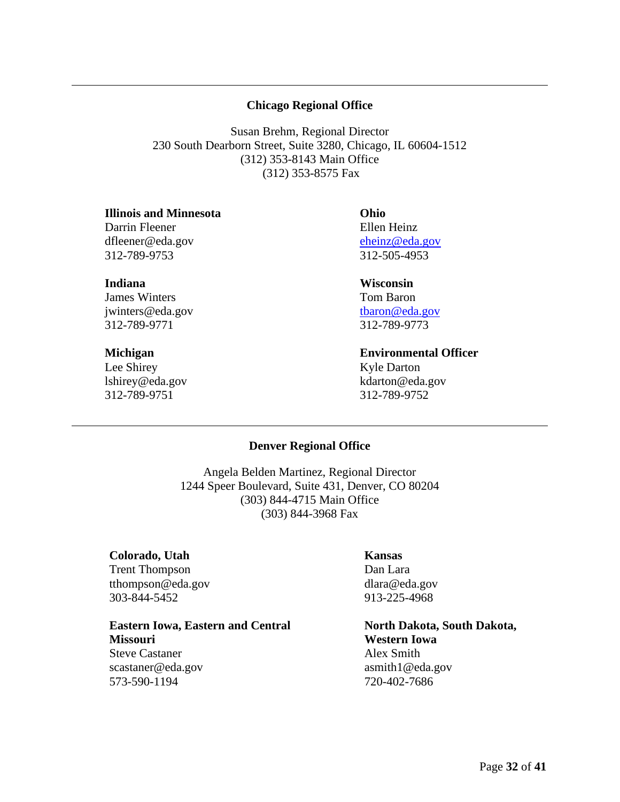### **Chicago Regional Office**

<span id="page-31-0"></span>Susan Brehm, Regional Director 230 South Dearborn Street, Suite 3280, Chicago, IL 60604-1512 (312) 353-8143 Main Office (312) 353-8575 Fax

#### **Illinois and Minnesota**

Darrin Fleener dfleener@eda.gov 312-789-9753

#### **Indiana**

James Winters jwinters@eda.gov 312-789-9771

#### **Michigan**

<span id="page-31-1"></span>Lee Shirey lshirey@eda.gov 312-789-9751

### **Ohio** Ellen Heinz [eheinz@eda.gov](mailto:eheinz@eda.gov) 312-505-4953

# **Wisconsin**

Tom Baron [tbaron@eda.gov](mailto:tbaron@eda.gov) 312-789-9773

### **Environmental Officer** Kyle Darton kdarton@eda.gov 312-789-9752

#### **Denver Regional Office**

Angela Belden Martinez, Regional Director 1244 Speer Boulevard, Suite 431, Denver, CO 80204 (303) 844-4715 Main Office (303) 844-3968 Fax

#### **Colorado, Utah** Trent Thompson tthompson@eda.gov 303-844-5452

**Eastern Iowa, Eastern and Central Missouri**

Steve Castaner scastaner@eda.gov 573-590-1194

#### **Kansas**

Dan Lara dlara@eda.gov 913-225-4968

**North Dakota, South Dakota, Western Iowa** Alex Smith asmith1@eda.gov 720-402-7686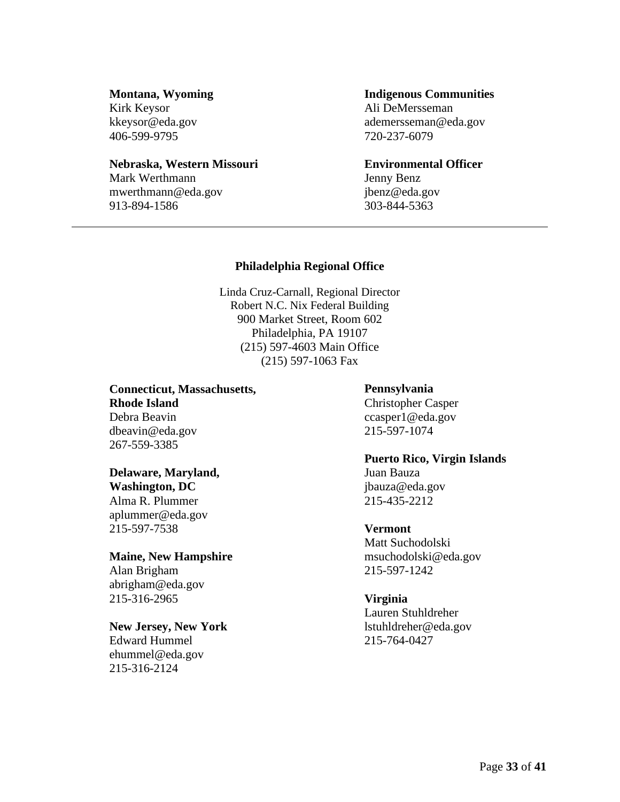#### **Montana, Wyoming**

Kirk Keysor kkeysor@eda.gov 406-599-9795

#### **Nebraska, Western Missouri**

<span id="page-32-0"></span>Mark Werthmann mwerthmann@eda.gov 913-894-1586

#### **Indigenous Communities**

Ali DeMersseman ademersseman@eda.gov 720-237-6079

**Environmental Officer**  Jenny Benz jbenz@eda.gov 303-844-5363

### **Philadelphia Regional Office**

Linda Cruz-Carnall, Regional Director Robert N.C. Nix Federal Building 900 Market Street, Room 602 Philadelphia, PA 19107 (215) 597-4603 Main Office (215) 597-1063 Fax

**Connecticut, Massachusetts, Rhode Island** Debra Beavin dbeavin@eda.gov 267-559-3385

### **Delaware, Maryland,**

**Washington, DC** Alma R. Plummer aplummer@eda.gov 215-597-7538

### **Maine, New Hampshire**

Alan Brigham abrigham@eda.gov 215-316-2965

### **New Jersey, New York**

Edward Hummel ehummel@eda.gov 215-316-2124

#### **Pennsylvania**

Christopher Casper ccasper1@eda.gov 215-597-1074

**Puerto Rico, Virgin Islands**  Juan Bauza

jbauza@eda.gov 215-435-2212

### **Vermont**

Matt Suchodolski msuchodolski@eda.gov 215-597-1242

### **Virginia**

Lauren Stuhldreher lstuhldreher@eda.gov 215-764-0427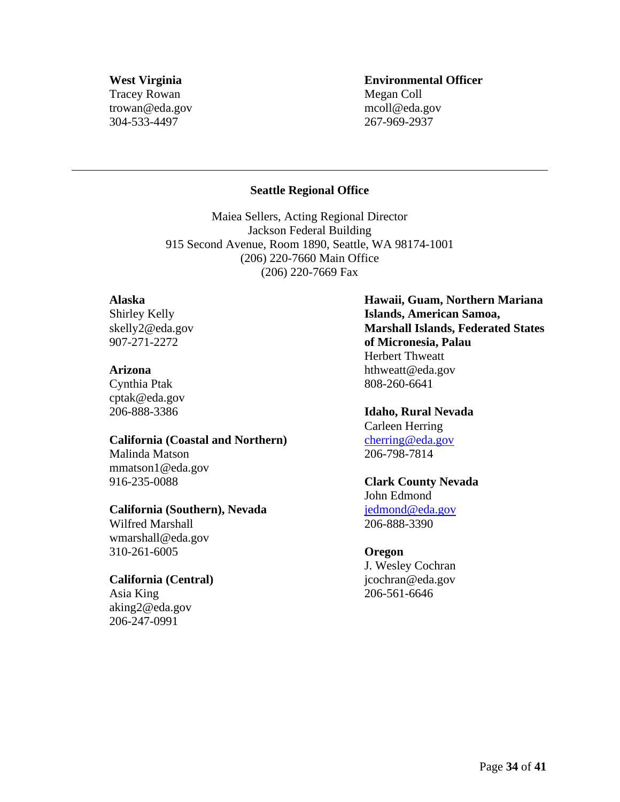### **West Virginia** Tracey Rowan trowan@eda.gov 304-533-4497

## **Environmental Officer** Megan Coll mcoll@eda.gov 267-969-2937

### **Seattle Regional Office**

<span id="page-33-0"></span>Maiea Sellers, Acting Regional Director Jackson Federal Building 915 Second Avenue, Room 1890, Seattle, WA 98174-1001 (206) 220-7660 Main Office (206) 220-7669 Fax

### **Alaska**

Shirley Kelly skelly2@eda.gov 907-271-2272

#### **Arizona**

Cynthia Ptak cptak@eda.gov 206-888-3386

#### **California (Coastal and Northern)**

Malinda Matson mmatson1@eda.gov 916-235-0088

### **California (Southern), Nevada**

Wilfred Marshall wmarshall@eda.gov 310-261-6005

### **California (Central)**

Asia King aking2@eda.gov 206-247-0991

**Hawaii, Guam, Northern Mariana Islands, American Samoa, Marshall Islands, Federated States of Micronesia, Palau**  Herbert Thweatt hthweatt@eda.gov 808-260-6641

# **Idaho, Rural Nevada**

Carleen Herring [cherring@eda.gov](mailto:cherring@eda.gov) 206-798-7814

# **Clark County Nevada**

John Edmond [jedmond@eda.gov](mailto:jedmond@eda.gov) 206-888-3390

### **Oregon**

J. Wesley Cochran jcochran@eda.gov 206-561-6646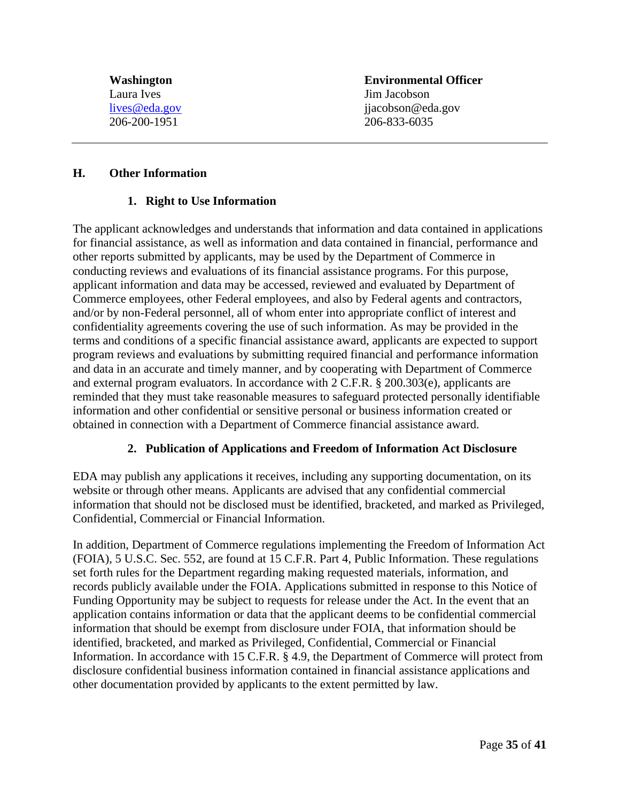**Environmental Officer** Jim Jacobson jjacobson@eda.gov 206-833-6035

### <span id="page-34-1"></span><span id="page-34-0"></span>**H. Other Information**

#### **1. Right to Use Information**

The applicant acknowledges and understands that information and data contained in applications for financial assistance, as well as information and data contained in financial, performance and other reports submitted by applicants, may be used by the Department of Commerce in conducting reviews and evaluations of its financial assistance programs. For this purpose, applicant information and data may be accessed, reviewed and evaluated by Department of Commerce employees, other Federal employees, and also by Federal agents and contractors, and/or by non-Federal personnel, all of whom enter into appropriate conflict of interest and confidentiality agreements covering the use of such information. As may be provided in the terms and conditions of a specific financial assistance award, applicants are expected to support program reviews and evaluations by submitting required financial and performance information and data in an accurate and timely manner, and by cooperating with Department of Commerce and external program evaluators. In accordance with 2 C.F.R. § 200.303(e), applicants are reminded that they must take reasonable measures to safeguard protected personally identifiable information and other confidential or sensitive personal or business information created or obtained in connection with a Department of Commerce financial assistance award.

### **2. Publication of Applications and Freedom of Information Act Disclosure**

<span id="page-34-2"></span>EDA may publish any applications it receives, including any supporting documentation, on its website or through other means. Applicants are advised that any confidential commercial information that should not be disclosed must be identified, bracketed, and marked as Privileged, Confidential, Commercial or Financial Information.

In addition, Department of Commerce regulations implementing the Freedom of Information Act (FOIA), 5 U.S.C. Sec. 552, are found at 15 C.F.R. Part 4, Public Information. These regulations set forth rules for the Department regarding making requested materials, information, and records publicly available under the FOIA. Applications submitted in response to this Notice of Funding Opportunity may be subject to requests for release under the Act. In the event that an application contains information or data that the applicant deems to be confidential commercial information that should be exempt from disclosure under FOIA, that information should be identified, bracketed, and marked as Privileged, Confidential, Commercial or Financial Information. In accordance with 15 C.F.R. § 4.9, the Department of Commerce will protect from disclosure confidential business information contained in financial assistance applications and other documentation provided by applicants to the extent permitted by law.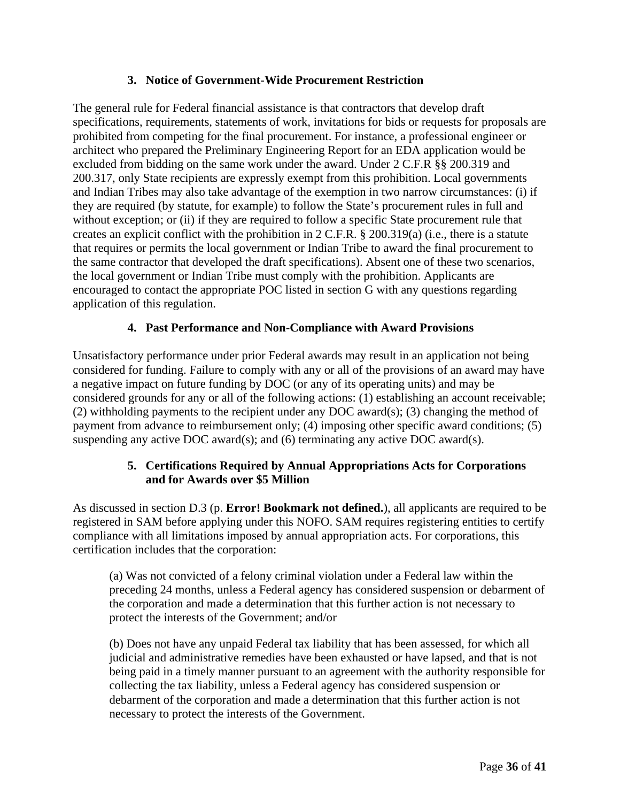## **3. Notice of Government-Wide Procurement Restriction**

<span id="page-35-0"></span>The general rule for Federal financial assistance is that contractors that develop draft specifications, requirements, statements of work, invitations for bids or requests for proposals are prohibited from competing for the final procurement. For instance, a professional engineer or architect who prepared the Preliminary Engineering Report for an EDA application would be excluded from bidding on the same work under the award. Under 2 C.F.R §§ 200.319 and 200.317, only State recipients are expressly exempt from this prohibition. Local governments and Indian Tribes may also take advantage of the exemption in two narrow circumstances: (i) if they are required (by statute, for example) to follow the State's procurement rules in full and without exception; or (ii) if they are required to follow a specific State procurement rule that creates an explicit conflict with the prohibition in 2 C.F.R. § 200.319(a) (i.e., there is a statute that requires or permits the local government or Indian Tribe to award the final procurement to the same contractor that developed the draft specifications). Absent one of these two scenarios, the local government or Indian Tribe must comply with the prohibition. Applicants are encouraged to contact the appropriate POC listed in section G with any questions regarding application of this regulation.

## **4. Past Performance and Non-Compliance with Award Provisions**

<span id="page-35-1"></span>Unsatisfactory performance under prior Federal awards may result in an application not being considered for funding. Failure to comply with any or all of the provisions of an award may have a negative impact on future funding by DOC (or any of its operating units) and may be considered grounds for any or all of the following actions: (1) establishing an account receivable; (2) withholding payments to the recipient under any DOC award(s); (3) changing the method of payment from advance to reimbursement only; (4) imposing other specific award conditions; (5) suspending any active DOC award(s); and (6) terminating any active DOC award(s).

## **5. Certifications Required by Annual Appropriations Acts for Corporations and for Awards over \$5 Million**

<span id="page-35-2"></span>As discussed in section D.3 (p. **Error! Bookmark not defined.**), all applicants are required to be registered in SAM before applying under this NOFO. SAM requires registering entities to certify compliance with all limitations imposed by annual appropriation acts. For corporations, this certification includes that the corporation:

(a) Was not convicted of a felony criminal violation under a Federal law within the preceding 24 months, unless a Federal agency has considered suspension or debarment of the corporation and made a determination that this further action is not necessary to protect the interests of the Government; and/or

(b) Does not have any unpaid Federal tax liability that has been assessed, for which all judicial and administrative remedies have been exhausted or have lapsed, and that is not being paid in a timely manner pursuant to an agreement with the authority responsible for collecting the tax liability, unless a Federal agency has considered suspension or debarment of the corporation and made a determination that this further action is not necessary to protect the interests of the Government.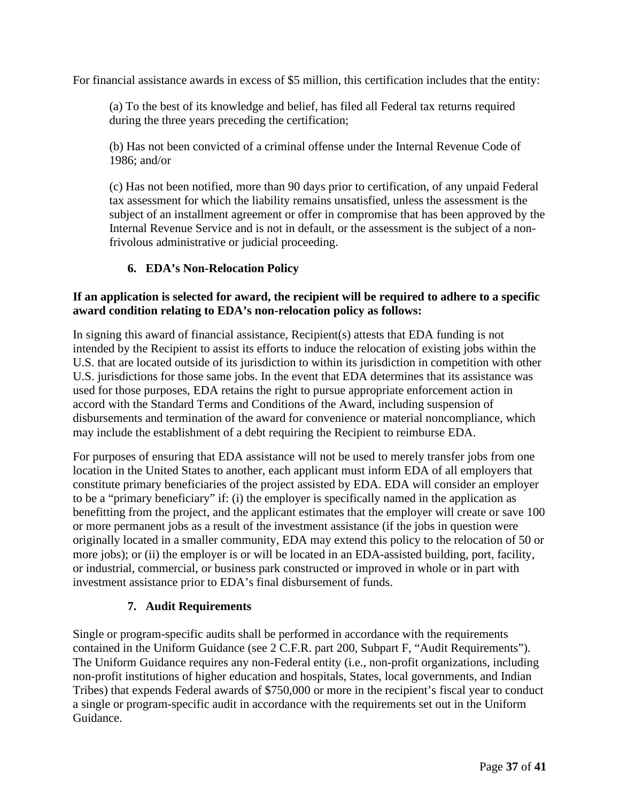For financial assistance awards in excess of \$5 million, this certification includes that the entity:

(a) To the best of its knowledge and belief, has filed all Federal tax returns required during the three years preceding the certification;

(b) Has not been convicted of a criminal offense under the Internal Revenue Code of 1986; and/or

(c) Has not been notified, more than 90 days prior to certification, of any unpaid Federal tax assessment for which the liability remains unsatisfied, unless the assessment is the subject of an installment agreement or offer in compromise that has been approved by the Internal Revenue Service and is not in default, or the assessment is the subject of a nonfrivolous administrative or judicial proceeding.

# **6. EDA's Non-Relocation Policy**

## <span id="page-36-0"></span>**If an application is selected for award, the recipient will be required to adhere to a specific award condition relating to EDA's non-relocation policy as follows:**

In signing this award of financial assistance, Recipient(s) attests that EDA funding is not intended by the Recipient to assist its efforts to induce the relocation of existing jobs within the U.S. that are located outside of its jurisdiction to within its jurisdiction in competition with other U.S. jurisdictions for those same jobs. In the event that EDA determines that its assistance was used for those purposes, EDA retains the right to pursue appropriate enforcement action in accord with the Standard Terms and Conditions of the Award, including suspension of disbursements and termination of the award for convenience or material noncompliance, which may include the establishment of a debt requiring the Recipient to reimburse EDA.

For purposes of ensuring that EDA assistance will not be used to merely transfer jobs from one location in the United States to another, each applicant must inform EDA of all employers that constitute primary beneficiaries of the project assisted by EDA. EDA will consider an employer to be a "primary beneficiary" if: (i) the employer is specifically named in the application as benefitting from the project, and the applicant estimates that the employer will create or save 100 or more permanent jobs as a result of the investment assistance (if the jobs in question were originally located in a smaller community, EDA may extend this policy to the relocation of 50 or more jobs); or (ii) the employer is or will be located in an EDA-assisted building, port, facility, or industrial, commercial, or business park constructed or improved in whole or in part with investment assistance prior to EDA's final disbursement of funds.

# **7. Audit Requirements**

<span id="page-36-1"></span>Single or program-specific audits shall be performed in accordance with the requirements contained in the Uniform Guidance (see 2 C.F.R. part 200, Subpart F, "Audit Requirements"). The Uniform Guidance requires any non-Federal entity (i.e., non-profit organizations, including non-profit institutions of higher education and hospitals, States, local governments, and Indian Tribes) that expends Federal awards of \$750,000 or more in the recipient's fiscal year to conduct a single or program-specific audit in accordance with the requirements set out in the Uniform Guidance.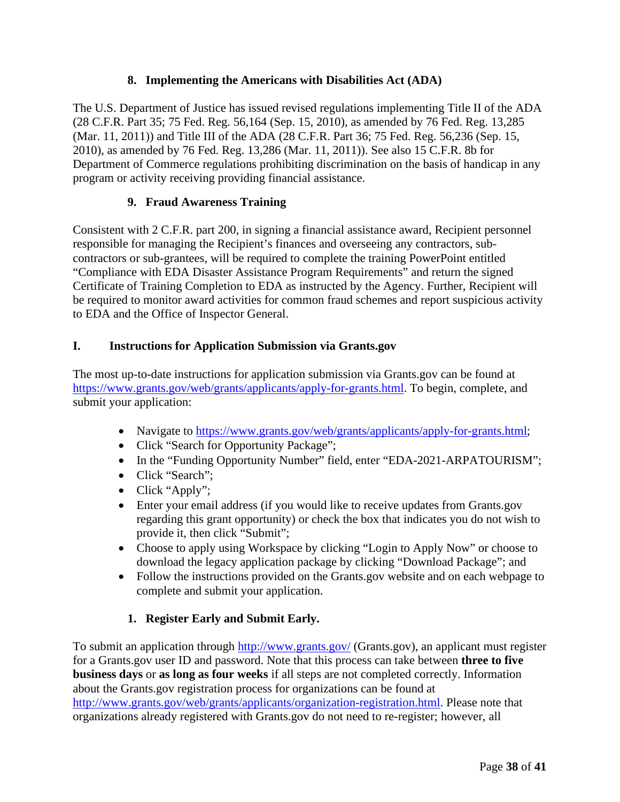# **8. Implementing the Americans with Disabilities Act (ADA)**

<span id="page-37-0"></span>The U.S. Department of Justice has issued revised regulations implementing Title II of the ADA (28 C.F.R. Part 35; 75 Fed. Reg. 56,164 (Sep. 15, 2010), as amended by 76 Fed. Reg. 13,285 (Mar. 11, 2011)) and Title III of the ADA (28 C.F.R. Part 36; 75 Fed. Reg. 56,236 (Sep. 15, 2010), as amended by 76 Fed. Reg. 13,286 (Mar. 11, 2011)). See also 15 C.F.R. 8b for Department of Commerce regulations prohibiting discrimination on the basis of handicap in any program or activity receiving providing financial assistance.

# **9. Fraud Awareness Training**

<span id="page-37-1"></span>Consistent with 2 C.F.R. part 200, in signing a financial assistance award, Recipient personnel responsible for managing the Recipient's finances and overseeing any contractors, subcontractors or sub-grantees, will be required to complete the training PowerPoint entitled "Compliance with EDA Disaster Assistance Program Requirements" and return the signed Certificate of Training Completion to EDA as instructed by the Agency. Further, Recipient will be required to monitor award activities for common fraud schemes and report suspicious activity to EDA and the Office of Inspector General.

# <span id="page-37-2"></span>**I. Instructions for Application Submission via Grants.gov**

The most up-to-date instructions for application submission via Grants.gov can be found at [https://www.grants.gov/web/grants/applicants/apply-for-grants.html.](https://www.grants.gov/web/grants/applicants/apply-for-grants.html) To begin, complete, and submit your application:

- Navigate to [https://www.grants.gov/web/grants/applicants/apply-for-grants.html;](https://www.grants.gov/web/grants/applicants/apply-for-grants.html)
- Click "Search for Opportunity Package";
- In the "Funding Opportunity Number" field, enter "EDA-2021-ARPATOURISM";
- Click "Search";
- Click "Apply";
- Enter your email address (if you would like to receive updates from Grants.gov regarding this grant opportunity) or check the box that indicates you do not wish to provide it, then click "Submit";
- Choose to apply using Workspace by clicking "Login to Apply Now" or choose to download the legacy application package by clicking "Download Package"; and
- Follow the instructions provided on the Grants.gov website and on each webpage to complete and submit your application.

# **1. Register Early and Submit Early.**

<span id="page-37-3"></span>To submit an application through<http://www.grants.gov/> (Grants.gov), an applicant must register for a Grants.gov user ID and password. Note that this process can take between **three to five business days** or **as long as four weeks** if all steps are not completed correctly. Information about the Grants.gov registration process for organizations can be found at [http://www.grants.gov/web/grants/applicants/organization-registration.html.](http://www.grants.gov/web/grants/applicants/organization-registration.html) Please note that organizations already registered with Grants.gov do not need to re-register; however, all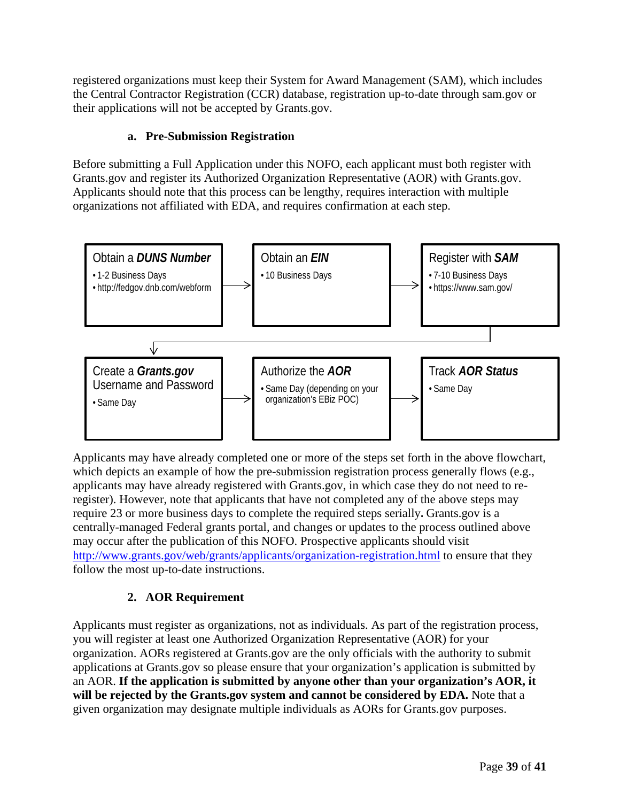registered organizations must keep their System for Award Management (SAM), which includes the Central Contractor Registration (CCR) database, registration up-to-date through sam.gov or their applications will not be accepted by Grants.gov.

# **a. Pre-Submission Registration**

Before submitting a Full Application under this NOFO, each applicant must both register with Grants.gov and register its Authorized Organization Representative (AOR) with Grants.gov. Applicants should note that this process can be lengthy, requires interaction with multiple organizations not affiliated with EDA, and requires confirmation at each step.



Applicants may have already completed one or more of the steps set forth in the above flowchart, which depicts an example of how the pre-submission registration process generally flows (e.g., applicants may have already registered with Grants.gov, in which case they do not need to reregister). However, note that applicants that have not completed any of the above steps may require 23 or more business days to complete the required steps serially**.** Grants.gov is a centrally-managed Federal grants portal, and changes or updates to the process outlined above may occur after the publication of this NOFO. Prospective applicants should visit <http://www.grants.gov/web/grants/applicants/organization-registration.html> to ensure that they follow the most up-to-date instructions.

# **2. AOR Requirement**

<span id="page-38-0"></span>Applicants must register as organizations, not as individuals. As part of the registration process, you will register at least one Authorized Organization Representative (AOR) for your organization. AORs registered at Grants.gov are the only officials with the authority to submit applications at Grants.gov so please ensure that your organization's application is submitted by an AOR. **If the application is submitted by anyone other than your organization's AOR, it will be rejected by the Grants.gov system and cannot be considered by EDA.** Note that a given organization may designate multiple individuals as AORs for Grants.gov purposes.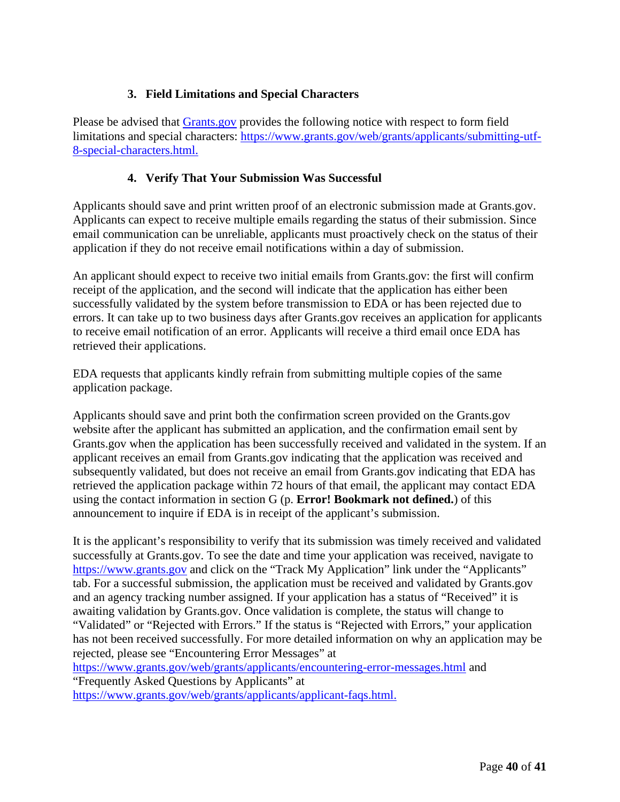# **3. Field Limitations and Special Characters**

<span id="page-39-0"></span>Please be advised that **Grants.gov** provides the following notice with respect to form field limitations and special characters: [https://www.grants.gov/web/grants/applicants/submitting-utf-](https://www.grants.gov/web/grants/applicants/submitting-utf-8-special-characters.html)[8-special-characters.html.](https://www.grants.gov/web/grants/applicants/submitting-utf-8-special-characters.html)

# **4. Verify That Your Submission Was Successful**

<span id="page-39-1"></span>Applicants should save and print written proof of an electronic submission made at Grants.gov. Applicants can expect to receive multiple emails regarding the status of their submission. Since email communication can be unreliable, applicants must proactively check on the status of their application if they do not receive email notifications within a day of submission.

An applicant should expect to receive two initial emails from Grants.gov: the first will confirm receipt of the application, and the second will indicate that the application has either been successfully validated by the system before transmission to EDA or has been rejected due to errors. It can take up to two business days after Grants.gov receives an application for applicants to receive email notification of an error. Applicants will receive a third email once EDA has retrieved their applications.

EDA requests that applicants kindly refrain from submitting multiple copies of the same application package.

Applicants should save and print both the confirmation screen provided on the Grants.gov website after the applicant has submitted an application, and the confirmation email sent by Grants.gov when the application has been successfully received and validated in the system. If an applicant receives an email from Grants.gov indicating that the application was received and subsequently validated, but does not receive an email from [Grants.gov i](http://www.grants.gov/)ndicating that EDA has retrieved the application package within 72 hours of that email, the applicant may contact EDA using the contact information in section G (p. **Error! Bookmark not defined.**) of this announcement to inquire if EDA is in receipt of the applicant's submission.

It is the applicant's responsibility to verify that its submission was timely received and validated successfully at Grants.gov. To see the date and time your application was received, navigate to [https://www.grants.gov](https://www.grants.gov/) and click on the "Track My Application" link under the "Applicants" tab. For a successful submission, the application must be received and validated by Grants.gov and an agency tracking number assigned. If your application has a status of "Received" it is awaiting validation by Grants.gov. Once validation is complete, the status will change to "Validated" or "Rejected with Errors." If the status is "Rejected with Errors," your application has not been received successfully. For more detailed information on why an application may be rejected, please see "Encountering Error Messages" at

<https://www.grants.gov/web/grants/applicants/encountering-error-messages.html> and "Frequently Asked Questions by Applicants" at

[https://www.grants.gov/web/grants/applicants/applicant-faqs.html.](https://www.grants.gov/web/grants/applicants/applicant-faqs.html)